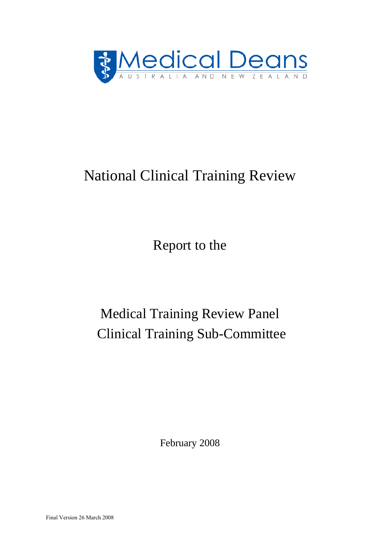

# National Clinical Training Review

Report to the

# Medical Training Review Panel Clinical Training Sub-Committee

February 2008

Final Version 26 March 2008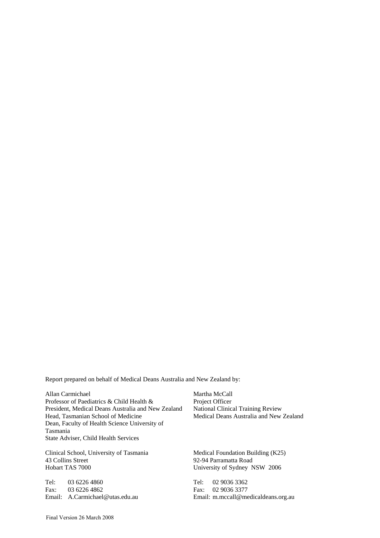Report prepared on behalf of Medical Deans Australia and New Zealand by:

Allan Carmichael Professor of Paediatrics & Child Health & President, Medical Deans Australia and New Zealand Head, Tasmanian School of Medicine Dean, Faculty of Health Science University of Tasmania State Adviser, Child Health Services

Clinical School, University of Tasmania 43 Collins Street Hobart TAS 7000

Tel: 03 6226 4860 Fax: 03 6226 4862 Email: A.Carmichael@utas.edu.au Martha McCall Project Officer National Clinical Training Review Medical Deans Australia and New Zealand

Medical Foundation Building (K25) 92-94 Parramatta Road University of Sydney NSW 2006

Tel: 02 9036 3362 Fax: 02 9036 3377 Email: m.mccall@medicaldeans.org.au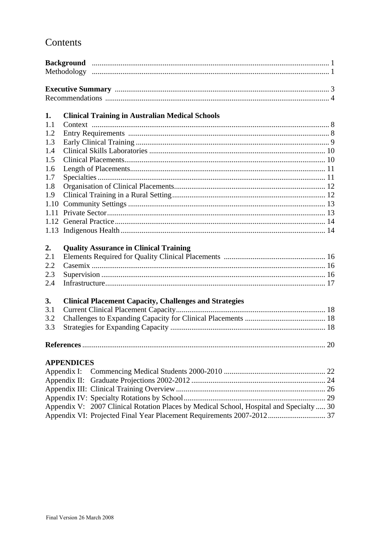## Contents

| 1.   | <b>Clinical Training in Australian Medical Schools</b>        |  |
|------|---------------------------------------------------------------|--|
| 1.1  |                                                               |  |
| 1.2  |                                                               |  |
| 1.3  |                                                               |  |
| 1.4  |                                                               |  |
| 1.5  |                                                               |  |
| 1.6  |                                                               |  |
| 1.7  |                                                               |  |
| 1.8  |                                                               |  |
| 1.9  |                                                               |  |
| 1.10 |                                                               |  |
| 1.11 |                                                               |  |
| 1.12 |                                                               |  |
| 1.13 |                                                               |  |
| 2.   | <b>Quality Assurance in Clinical Training</b>                 |  |
| 2.1  |                                                               |  |
| 2.2  |                                                               |  |
| 2.3  |                                                               |  |
| 2.4  |                                                               |  |
| 3.   | <b>Clinical Placement Capacity, Challenges and Strategies</b> |  |
| 3.1  |                                                               |  |
| 3.2  |                                                               |  |
| 3.3  |                                                               |  |
|      |                                                               |  |
|      | <b>APPENDICES</b>                                             |  |
|      | Appendix I:                                                   |  |
|      |                                                               |  |
|      |                                                               |  |

Appendix V: 2007 Clinical Rotation Places by Medical School, Hospital and Specialty ..... 30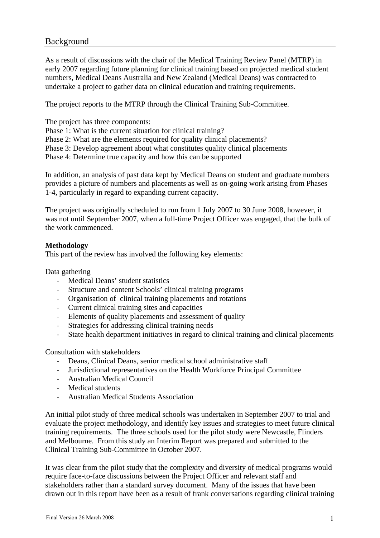### Background

As a result of discussions with the chair of the Medical Training Review Panel (MTRP) in early 2007 regarding future planning for clinical training based on projected medical student numbers, Medical Deans Australia and New Zealand (Medical Deans) was contracted to undertake a project to gather data on clinical education and training requirements.

The project reports to the MTRP through the Clinical Training Sub-Committee.

The project has three components:

Phase 1: What is the current situation for clinical training?

Phase 2: What are the elements required for quality clinical placements?

Phase 3: Develop agreement about what constitutes quality clinical placements

Phase 4: Determine true capacity and how this can be supported

In addition, an analysis of past data kept by Medical Deans on student and graduate numbers provides a picture of numbers and placements as well as on-going work arising from Phases 1-4, particularly in regard to expanding current capacity.

The project was originally scheduled to run from 1 July 2007 to 30 June 2008, however, it was not until September 2007, when a full-time Project Officer was engaged, that the bulk of the work commenced.

#### **Methodology**

This part of the review has involved the following key elements:

Data gathering

- ‐ Medical Deans' student statistics
- ‐ Structure and content Schools' clinical training programs
- ‐ Organisation of clinical training placements and rotations
- ‐ Current clinical training sites and capacities
- ‐ Elements of quality placements and assessment of quality
- Strategies for addressing clinical training needs
- ‐ State health department initiatives in regard to clinical training and clinical placements

Consultation with stakeholders

- ‐ Deans, Clinical Deans, senior medical school administrative staff
- ‐ Jurisdictional representatives on the Health Workforce Principal Committee
- ‐ Australian Medical Council
- ‐ Medical students
- ‐ Australian Medical Students Association

An initial pilot study of three medical schools was undertaken in September 2007 to trial and evaluate the project methodology, and identify key issues and strategies to meet future clinical training requirements. The three schools used for the pilot study were Newcastle, Flinders and Melbourne. From this study an Interim Report was prepared and submitted to the Clinical Training Sub-Committee in October 2007.

It was clear from the pilot study that the complexity and diversity of medical programs would require face-to-face discussions between the Project Officer and relevant staff and stakeholders rather than a standard survey document. Many of the issues that have been drawn out in this report have been as a result of frank conversations regarding clinical training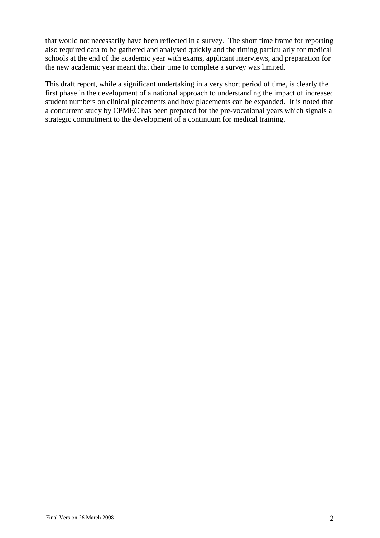that would not necessarily have been reflected in a survey. The short time frame for reporting also required data to be gathered and analysed quickly and the timing particularly for medical schools at the end of the academic year with exams, applicant interviews, and preparation for the new academic year meant that their time to complete a survey was limited.

This draft report, while a significant undertaking in a very short period of time, is clearly the first phase in the development of a national approach to understanding the impact of increased student numbers on clinical placements and how placements can be expanded. It is noted that a concurrent study by CPMEC has been prepared for the pre-vocational years which signals a strategic commitment to the development of a continuum for medical training.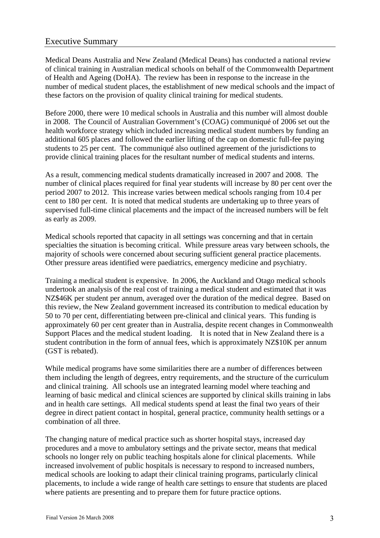### Executive Summary

Medical Deans Australia and New Zealand (Medical Deans) has conducted a national review of clinical training in Australian medical schools on behalf of the Commonwealth Department of Health and Ageing (DoHA). The review has been in response to the increase in the number of medical student places, the establishment of new medical schools and the impact of these factors on the provision of quality clinical training for medical students.

Before 2000, there were 10 medical schools in Australia and this number will almost double in 2008. The Council of Australian Government's (COAG) communiqué of 2006 set out the health workforce strategy which included increasing medical student numbers by funding an additional 605 places and followed the earlier lifting of the cap on domestic full-fee paying students to 25 per cent. The communiqué also outlined agreement of the jurisdictions to provide clinical training places for the resultant number of medical students and interns.

As a result, commencing medical students dramatically increased in 2007 and 2008. The number of clinical places required for final year students will increase by 80 per cent over the period 2007 to 2012. This increase varies between medical schools ranging from 10.4 per cent to 180 per cent. It is noted that medical students are undertaking up to three years of supervised full-time clinical placements and the impact of the increased numbers will be felt as early as 2009.

Medical schools reported that capacity in all settings was concerning and that in certain specialties the situation is becoming critical. While pressure areas vary between schools, the majority of schools were concerned about securing sufficient general practice placements. Other pressure areas identified were paediatrics, emergency medicine and psychiatry.

Training a medical student is expensive. In 2006, the Auckland and Otago medical schools undertook an analysis of the real cost of training a medical student and estimated that it was NZ\$46K per student per annum, averaged over the duration of the medical degree. Based on this review, the New Zealand government increased its contribution to medical education by 50 to 70 per cent, differentiating between pre-clinical and clinical years. This funding is approximately 60 per cent greater than in Australia, despite recent changes in Commonwealth Support Places and the medical student loading. It is noted that in New Zealand there is a student contribution in the form of annual fees, which is approximately NZ\$10K per annum (GST is rebated).

While medical programs have some similarities there are a number of differences between them including the length of degrees, entry requirements, and the structure of the curriculum and clinical training. All schools use an integrated learning model where teaching and learning of basic medical and clinical sciences are supported by clinical skills training in labs and in health care settings. All medical students spend at least the final two years of their degree in direct patient contact in hospital, general practice, community health settings or a combination of all three.

The changing nature of medical practice such as shorter hospital stays, increased day procedures and a move to ambulatory settings and the private sector, means that medical schools no longer rely on public teaching hospitals alone for clinical placements. While increased involvement of public hospitals is necessary to respond to increased numbers, medical schools are looking to adapt their clinical training programs, particularly clinical placements, to include a wide range of health care settings to ensure that students are placed where patients are presenting and to prepare them for future practice options.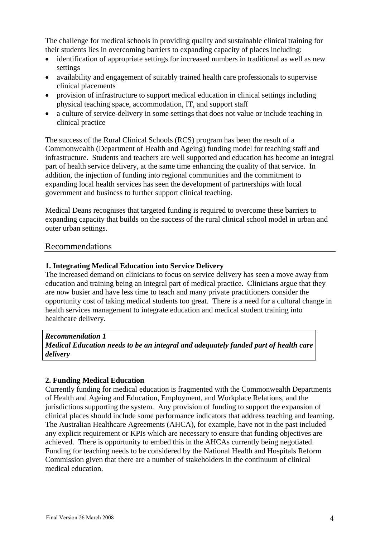The challenge for medical schools in providing quality and sustainable clinical training for their students lies in overcoming barriers to expanding capacity of places including:

- identification of appropriate settings for increased numbers in traditional as well as new settings
- availability and engagement of suitably trained health care professionals to supervise clinical placements
- provision of infrastructure to support medical education in clinical settings including physical teaching space, accommodation, IT, and support staff
- a culture of service-delivery in some settings that does not value or include teaching in clinical practice

The success of the Rural Clinical Schools (RCS) program has been the result of a Commonwealth (Department of Health and Ageing) funding model for teaching staff and infrastructure. Students and teachers are well supported and education has become an integral part of health service delivery, at the same time enhancing the quality of that service. In addition, the injection of funding into regional communities and the commitment to expanding local health services has seen the development of partnerships with local government and business to further support clinical teaching.

Medical Deans recognises that targeted funding is required to overcome these barriers to expanding capacity that builds on the success of the rural clinical school model in urban and outer urban settings.

#### Recommendations

#### **1. Integrating Medical Education into Service Delivery**

The increased demand on clinicians to focus on service delivery has seen a move away from education and training being an integral part of medical practice. Clinicians argue that they are now busier and have less time to teach and many private practitioners consider the opportunity cost of taking medical students too great. There is a need for a cultural change in health services management to integrate education and medical student training into healthcare delivery.

*Recommendation 1 Medical Education needs to be an integral and adequately funded part of health care delivery* 

#### **2. Funding Medical Education**

Currently funding for medical education is fragmented with the Commonwealth Departments of Health and Ageing and Education, Employment, and Workplace Relations, and the jurisdictions supporting the system. Any provision of funding to support the expansion of clinical places should include some performance indicators that address teaching and learning. The Australian Healthcare Agreements (AHCA), for example, have not in the past included any explicit requirement or KPIs which are necessary to ensure that funding objectives are achieved. There is opportunity to embed this in the AHCAs currently being negotiated. Funding for teaching needs to be considered by the National Health and Hospitals Reform Commission given that there are a number of stakeholders in the continuum of clinical medical education.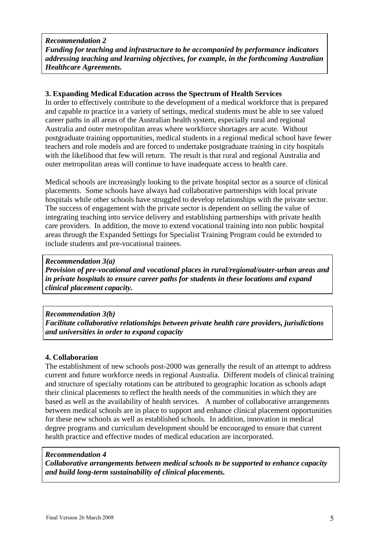#### *Recommendation 2 Funding for teaching and infrastructure to be accompanied by performance indicators addressing teaching and learning objectives, for example, in the forthcoming Australian Healthcare Agreements.*

#### **3. Expanding Medical Education across the Spectrum of Health Services**

In order to effectively contribute to the development of a medical workforce that is prepared and capable to practice in a variety of settings, medical students must be able to see valued career paths in all areas of the Australian health system, especially rural and regional Australia and outer metropolitan areas where workforce shortages are acute. Without postgraduate training opportunities, medical students in a regional medical school have fewer teachers and role models and are forced to undertake postgraduate training in city hospitals with the likelihood that few will return. The result is that rural and regional Australia and outer metropolitan areas will continue to have inadequate access to health care.

Medical schools are increasingly looking to the private hospital sector as a source of clinical placements. Some schools have always had collaborative partnerships with local private hospitals while other schools have struggled to develop relationships with the private sector. The success of engagement with the private sector is dependent on selling the value of integrating teaching into service delivery and establishing partnerships with private health care providers. In addition, the move to extend vocational training into non public hospital areas through the Expanded Settings for Specialist Training Program could be extended to include students and pre-vocational trainees.

#### *Recommendation 3(a) Provision of pre-vocational and vocational places in rural/regional/outer-urban areas and in private hospitals to ensure career paths for students in these locations and expand clinical placement capacity.*

*Recommendation 3(b) Facilitate collaborative relationships between private health care providers, jurisdictions and universities in order to expand capacity* 

#### **4. Collabora**t**ion**

The establishment of new schools post-2000 was generally the result of an attempt to address current and future workforce needs in regional Australia. Different models of clinical training and structure of specialty rotations can be attributed to geographic location as schools adapt their clinical placements to reflect the health needs of the communities in which they are based as well as the availability of health services. A number of collaborative arrangements between medical schools are in place to support and enhance clinical placement opportunities for these new schools as well as established schools. In addition, innovation in medical degree programs and curriculum development should be encouraged to ensure that current health practice and effective modes of medical education are incorporated.

#### *Recommendation 4*

*Collaborative arrangements between medical schools to be supported to enhance capacity and build long-term sustainability of clinical placements.*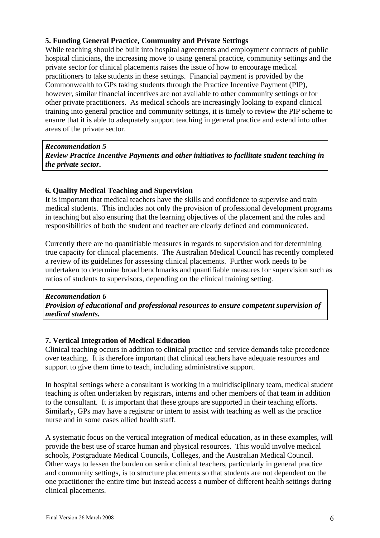#### **5. Funding General Practice, Community and Private Settings**

While teaching should be built into hospital agreements and employment contracts of public hospital clinicians, the increasing move to using general practice, community settings and the private sector for clinical placements raises the issue of how to encourage medical practitioners to take students in these settings. Financial payment is provided by the Commonwealth to GPs taking students through the Practice Incentive Payment (PIP), however, similar financial incentives are not available to other community settings or for other private practitioners. As medical schools are increasingly looking to expand clinical training into general practice and community settings, it is timely to review the PIP scheme to ensure that it is able to adequately support teaching in general practice and extend into other areas of the private sector.

*Recommendation 5 Review Practice Incentive Payments and other initiatives to facilitate student teaching in the private sector.*

#### **6. Quality Medical Teaching and Supervision**

It is important that medical teachers have the skills and confidence to supervise and train medical students. This includes not only the provision of professional development programs in teaching but also ensuring that the learning objectives of the placement and the roles and responsibilities of both the student and teacher are clearly defined and communicated.

Currently there are no quantifiable measures in regards to supervision and for determining true capacity for clinical placements. The Australian Medical Council has recently completed a review of its guidelines for assessing clinical placements. Further work needs to be undertaken to determine broad benchmarks and quantifiable measures for supervision such as ratios of students to supervisors, depending on the clinical training setting.

#### *Recommendation 6 Provision of educational and professional resources to ensure competent supervision of medical students.*

#### **7. Vertical Integration of Medical Education**

Clinical teaching occurs in addition to clinical practice and service demands take precedence over teaching. It is therefore important that clinical teachers have adequate resources and support to give them time to teach, including administrative support.

In hospital settings where a consultant is working in a multidisciplinary team, medical student teaching is often undertaken by registrars, interns and other members of that team in addition to the consultant. It is important that these groups are supported in their teaching efforts. Similarly, GPs may have a registrar or intern to assist with teaching as well as the practice nurse and in some cases allied health staff.

A systematic focus on the vertical integration of medical education, as in these examples, will provide the best use of scarce human and physical resources. This would involve medical schools, Postgraduate Medical Councils, Colleges, and the Australian Medical Council. Other ways to lessen the burden on senior clinical teachers, particularly in general practice and community settings, is to structure placements so that students are not dependent on the one practitioner the entire time but instead access a number of different health settings during clinical placements.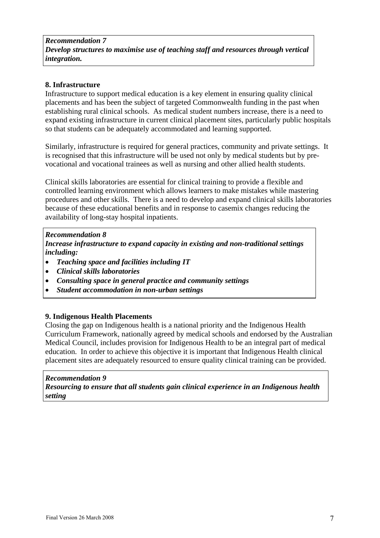#### **8. Infrastructure**

Infrastructure to support medical education is a key element in ensuring quality clinical placements and has been the subject of targeted Commonwealth funding in the past when establishing rural clinical schools. As medical student numbers increase, there is a need to expand existing infrastructure in current clinical placement sites, particularly public hospitals so that students can be adequately accommodated and learning supported.

Similarly, infrastructure is required for general practices, community and private settings. It is recognised that this infrastructure will be used not only by medical students but by prevocational and vocational trainees as well as nursing and other allied health students.

Clinical skills laboratories are essential for clinical training to provide a flexible and controlled learning environment which allows learners to make mistakes while mastering procedures and other skills. There is a need to develop and expand clinical skills laboratories because of these educational benefits and in response to casemix changes reducing the availability of long-stay hospital inpatients.

#### $\overline{a}$ *Recommendation 8*

*Increase infrastructure to expand capacity in existing and non-traditional settings including:* 

- *Teaching space and facilities including IT*
- *Clinical skills laboratories*
- *Consulting space in general practice and community settings*
- *Student accommodation in non-urban settings*

#### **9. Indigenous Health Placements**

Closing the gap on Indigenous health is a national priority and the Indigenous Health Curriculum Framework, nationally agreed by medical schools and endorsed by the Australian Medical Council, includes provision for Indigenous Health to be an integral part of medical education. In order to achieve this objective it is important that Indigenous Health clinical placement sites are adequately resourced to ensure quality clinical training can be provided.

#### *Recommendation 9*

*Resourcing to ensure that all students gain clinical experience in an Indigenous health setting*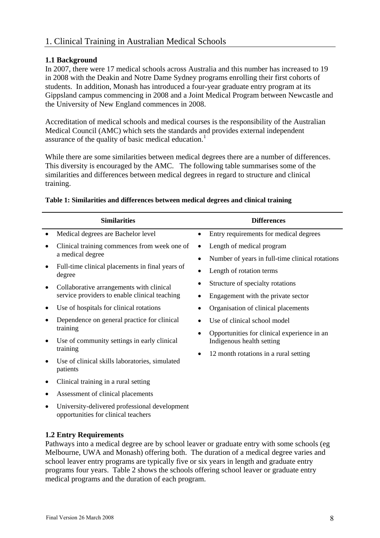#### **1.1 Background**

In 2007, there were 17 medical schools across Australia and this number has increased to 19 in 2008 with the Deakin and Notre Dame Sydney programs enrolling their first cohorts of students. In addition, Monash has introduced a four-year graduate entry program at its Gippsland campus commencing in 2008 and a Joint Medical Program between Newcastle and the University of New England commences in 2008.

Accreditation of medical schools and medical courses is the responsibility of the Australian Medical Council (AMC) which sets the standards and provides external independent assurance of the quality of basic medical education.<sup>1</sup>

While there are some similarities between medical degrees there are a number of differences. This diversity is encouraged by the AMC. The following table summarises some of the similarities and differences between medical degrees in regard to structure and clinical training.

| <b>Similarities</b>                                                                  |           | <b>Differences</b>                              |
|--------------------------------------------------------------------------------------|-----------|-------------------------------------------------|
| Medical degrees are Bachelor level                                                   | $\bullet$ | Entry requirements for medical degrees          |
| Clinical training commences from week one of                                         |           | Length of medical program                       |
| a medical degree                                                                     |           | Number of years in full-time clinical rotations |
| Full-time clinical placements in final years of<br>degree                            |           | Length of rotation terms                        |
| Collaborative arrangements with clinical                                             |           | Structure of specialty rotations                |
| service providers to enable clinical teaching                                        |           | Engagement with the private sector              |
| Use of hospitals for clinical rotations                                              |           | Organisation of clinical placements             |
| Dependence on general practice for clinical                                          |           | Use of clinical school model                    |
| training                                                                             |           | Opportunities for clinical experience in an     |
| Use of community settings in early clinical                                          |           | Indigenous health setting                       |
| training                                                                             |           | 12 month rotations in a rural setting           |
| Use of clinical skills laboratories, simulated<br>patients                           |           |                                                 |
| Clinical training in a rural setting                                                 |           |                                                 |
| Assessment of clinical placements                                                    |           |                                                 |
| University-delivered professional development<br>opportunities for clinical teachers |           |                                                 |

#### **Table 1: Similarities and differences between medical degrees and clinical training**

#### **1.2 Entry Requirements**

Pathways into a medical degree are by school leaver or graduate entry with some schools (eg Melbourne, UWA and Monash) offering both. The duration of a medical degree varies and school leaver entry programs are typically five or six years in length and graduate entry programs four years. Table 2 shows the schools offering school leaver or graduate entry medical programs and the duration of each program.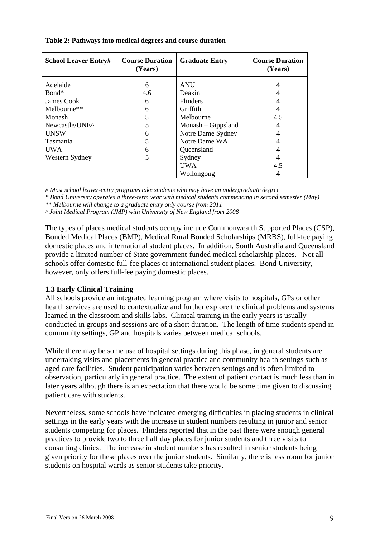| <b>School Leaver Entry#</b> | <b>Course Duration</b><br>(Years) | <b>Graduate Entry</b> | <b>Course Duration</b><br>(Years) |
|-----------------------------|-----------------------------------|-----------------------|-----------------------------------|
| Adelaide                    | 6                                 | <b>ANU</b>            |                                   |
| Bond*                       | 4.6                               | Deakin                |                                   |
| James Cook                  | 6                                 | <b>Flinders</b>       |                                   |
| Melbourne**                 | 6                                 | Griffith              |                                   |
| Monash                      | 5                                 | Melbourne             | 4.5                               |
| Newcastle/UNE^              | 5                                 | $Monash - Gippsland$  | 4                                 |
| <b>UNSW</b>                 | 6                                 | Notre Dame Sydney     | 4                                 |
| Tasmania                    |                                   | Notre Dame WA         |                                   |
| <b>UWA</b>                  | 6                                 | Queensland            |                                   |
| Western Sydney              | 5                                 | Sydney                |                                   |
|                             |                                   | UWA                   | 4.5                               |
|                             |                                   | Wollongong            |                                   |

#### **Table 2: Pathways into medical degrees and course duration**

*# Most school leaver-entry programs take students who may have an undergraduate degree* 

*\* Bond University operates a three-term year with medical students commencing in second semester (May)* 

*\*\* Melbourne will change to a graduate entry only course from 2011* 

*^ Joint Medical Program (JMP) with University of New England from 2008* 

The types of places medical students occupy include Commonwealth Supported Places (CSP), Bonded Medical Places (BMP), Medical Rural Bonded Scholarships (MRBS), full-fee paying domestic places and international student places. In addition, South Australia and Queensland provide a limited number of State government-funded medical scholarship places. Not all schools offer domestic full-fee places or international student places. Bond University, however, only offers full-fee paying domestic places.

#### **1.3 Early Clinical Training**

All schools provide an integrated learning program where visits to hospitals, GPs or other health services are used to contextualize and further explore the clinical problems and systems learned in the classroom and skills labs. Clinical training in the early years is usually conducted in groups and sessions are of a short duration. The length of time students spend in community settings, GP and hospitals varies between medical schools.

While there may be some use of hospital settings during this phase, in general students are undertaking visits and placements in general practice and community health settings such as aged care facilities. Student participation varies between settings and is often limited to observation, particularly in general practice. The extent of patient contact is much less than in later years although there is an expectation that there would be some time given to discussing patient care with students.

Nevertheless, some schools have indicated emerging difficulties in placing students in clinical settings in the early years with the increase in student numbers resulting in junior and senior students competing for places. Flinders reported that in the past there were enough general practices to provide two to three half day places for junior students and three visits to consulting clinics. The increase in student numbers has resulted in senior students being given priority for these places over the junior students. Similarly, there is less room for junior students on hospital wards as senior students take priority.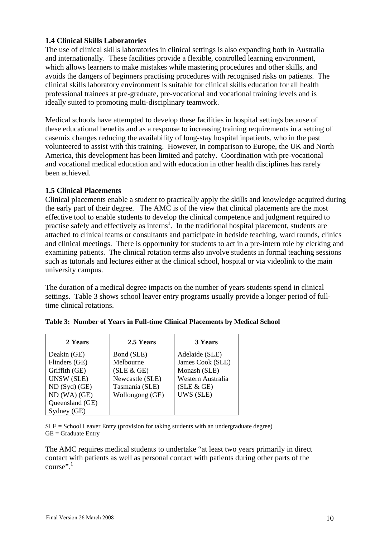#### **1.4 Clinical Skills Laboratories**

The use of clinical skills laboratories in clinical settings is also expanding both in Australia and internationally. These facilities provide a flexible, controlled learning environment, which allows learners to make mistakes while mastering procedures and other skills, and avoids the dangers of beginners practising procedures with recognised risks on patients. The clinical skills laboratory environment is suitable for clinical skills education for all health professional trainees at pre-graduate, pre-vocational and vocational training levels and is ideally suited to promoting multi-disciplinary teamwork.

Medical schools have attempted to develop these facilities in hospital settings because of these educational benefits and as a response to increasing training requirements in a setting of casemix changes reducing the availability of long-stay hospital inpatients, who in the past volunteered to assist with this training. However, in comparison to Europe, the UK and North America, this development has been limited and patchy. Coordination with pre-vocational and vocational medical education and with education in other health disciplines has rarely been achieved.

#### **1.5 Clinical Placements**

Clinical placements enable a student to practically apply the skills and knowledge acquired during the early part of their degree. The AMC is of the view that clinical placements are the most effective tool to enable students to develop the clinical competence and judgment required to practise safely and effectively as interns<sup>1</sup>. In the traditional hospital placement, students are attached to clinical teams or consultants and participate in bedside teaching, ward rounds, clinics and clinical meetings. There is opportunity for students to act in a pre-intern role by clerking and examining patients. The clinical rotation terms also involve students in formal teaching sessions such as tutorials and lectures either at the clinical school, hospital or via videolink to the main university campus.

The duration of a medical degree impacts on the number of years students spend in clinical settings. Table 3 shows school leaver entry programs usually provide a longer period of fulltime clinical rotations.

| 2 Years         | 2.5 Years       | 3 Years           |
|-----------------|-----------------|-------------------|
| Deakin (GE)     | Bond (SLE)      | Adelaide (SLE)    |
| Flinders (GE)   | Melbourne       | James Cook (SLE)  |
| Griffith (GE)   | (SLE & GE)      | Monash (SLE)      |
| UNSW (SLE)      | Newcastle (SLE) | Western Australia |
| $ND(Syd)$ (GE)  | Tasmania (SLE)  | (SLE & GE)        |
| ND(WA)(GE)      | Wollongong (GE) | UWS (SLE)         |
| Queensland (GE) |                 |                   |
| Sydney (GE)     |                 |                   |

|  |  |  |  |  | Table 3: Number of Years in Full-time Clinical Placements by Medical School |  |  |
|--|--|--|--|--|-----------------------------------------------------------------------------|--|--|
|--|--|--|--|--|-----------------------------------------------------------------------------|--|--|

 $SLE =$  School Leaver Entry (provision for taking students with an undergraduate degree)  $GE =$  Graduate Entry

The AMC requires medical students to undertake "at least two years primarily in direct contact with patients as well as personal contact with patients during other parts of the course".<sup>1</sup>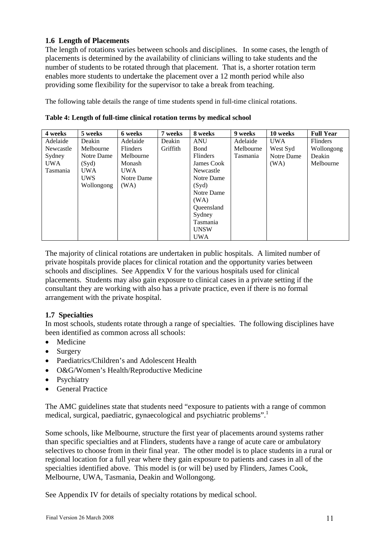#### **1.6 Length of Placements**

The length of rotations varies between schools and disciplines. In some cases, the length of placements is determined by the availability of clinicians willing to take students and the number of students to be rotated through that placement. That is, a shorter rotation term enables more students to undertake the placement over a 12 month period while also providing some flexibility for the supervisor to take a break from teaching.

The following table details the range of time students spend in full-time clinical rotations.

| 4 weeks    | 5 weeks    | 6 weeks         | 7 weeks  | 8 weeks           | 9 weeks   | 10 weeks   | <b>Full Year</b> |
|------------|------------|-----------------|----------|-------------------|-----------|------------|------------------|
| Adelaide   | Deakin     | Adelaide        | Deakin   | <b>ANU</b>        | Adelaide  | <b>UWA</b> | <b>Flinders</b>  |
| Newcastle  | Melbourne  | <b>Flinders</b> | Griffith | Bond              | Melbourne | West Syd   | Wollongong       |
| Sydney     | Notre Dame | Melbourne       |          | <b>Flinders</b>   | Tasmania  | Notre Dame | Deakin           |
| <b>UWA</b> | (Syd)      | Monash          |          | James Cook        |           | (WA)       | Melbourne        |
| Tasmania   | <b>UWA</b> | <b>UWA</b>      |          | Newcastle         |           |            |                  |
|            | <b>UWS</b> | Notre Dame      |          | Notre Dame        |           |            |                  |
|            | Wollongong | (WA)            |          | (Syd)             |           |            |                  |
|            |            |                 |          | Notre Dame        |           |            |                  |
|            |            |                 |          | (WA)              |           |            |                  |
|            |            |                 |          | <b>Oueensland</b> |           |            |                  |
|            |            |                 |          | Sydney            |           |            |                  |
|            |            |                 |          | Tasmania          |           |            |                  |
|            |            |                 |          | <b>UNSW</b>       |           |            |                  |
|            |            |                 |          | <b>UWA</b>        |           |            |                  |

**Table 4: Length of full-time clinical rotation terms by medical school** 

The majority of clinical rotations are undertaken in public hospitals. A limited number of private hospitals provide places for clinical rotation and the opportunity varies between schools and disciplines. See Appendix V for the various hospitals used for clinical placements. Students may also gain exposure to clinical cases in a private setting if the consultant they are working with also has a private practice, even if there is no formal arrangement with the private hospital.

#### **1.7 Specialties**

In most schools, students rotate through a range of specialties. The following disciplines have been identified as common across all schools:

- Medicine
- Surgery
- Paediatrics/Children's and Adolescent Health
- O&G/Women's Health/Reproductive Medicine
- Psychiatry
- General Practice

The AMC guidelines state that students need "exposure to patients with a range of common medical, surgical, paediatric, gynaecological and psychiatric problems".<sup>1</sup>

Some schools, like Melbourne, structure the first year of placements around systems rather than specific specialties and at Flinders, students have a range of acute care or ambulatory selectives to choose from in their final year. The other model is to place students in a rural or regional location for a full year where they gain exposure to patients and cases in all of the specialties identified above. This model is (or will be) used by Flinders, James Cook, Melbourne, UWA, Tasmania, Deakin and Wollongong.

See Appendix IV for details of specialty rotations by medical school.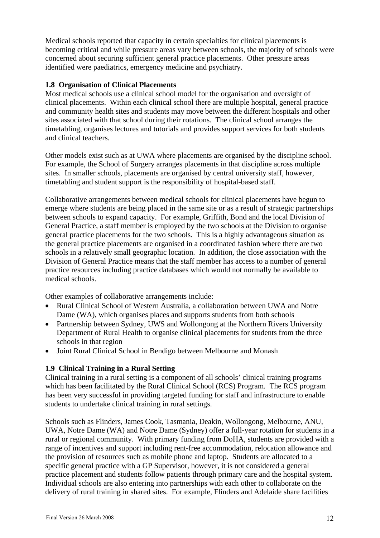Medical schools reported that capacity in certain specialties for clinical placements is becoming critical and while pressure areas vary between schools, the majority of schools were concerned about securing sufficient general practice placements. Other pressure areas identified were paediatrics, emergency medicine and psychiatry.

#### **1.8 Organisation of Clinical Placements**

Most medical schools use a clinical school model for the organisation and oversight of clinical placements. Within each clinical school there are multiple hospital, general practice and community health sites and students may move between the different hospitals and other sites associated with that school during their rotations. The clinical school arranges the timetabling, organises lectures and tutorials and provides support services for both students and clinical teachers.

Other models exist such as at UWA where placements are organised by the discipline school. For example, the School of Surgery arranges placements in that discipline across multiple sites. In smaller schools, placements are organised by central university staff, however, timetabling and student support is the responsibility of hospital-based staff.

Collaborative arrangements between medical schools for clinical placements have begun to emerge where students are being placed in the same site or as a result of strategic partnerships between schools to expand capacity. For example, Griffith, Bond and the local Division of General Practice, a staff member is employed by the two schools at the Division to organise general practice placements for the two schools. This is a highly advantageous situation as the general practice placements are organised in a coordinated fashion where there are two schools in a relatively small geographic location. In addition, the close association with the Division of General Practice means that the staff member has access to a number of general practice resources including practice databases which would not normally be available to medical schools.

Other examples of collaborative arrangements include:

- Rural Clinical School of Western Australia, a collaboration between UWA and Notre Dame (WA), which organises places and supports students from both schools
- Partnership between Sydney, UWS and Wollongong at the Northern Rivers University Department of Rural Health to organise clinical placements for students from the three schools in that region
- Joint Rural Clinical School in Bendigo between Melbourne and Monash

#### **1.9 Clinical Training in a Rural Setting**

Clinical training in a rural setting is a component of all schools' clinical training programs which has been facilitated by the Rural Clinical School (RCS) Program. The RCS program has been very successful in providing targeted funding for staff and infrastructure to enable students to undertake clinical training in rural settings.

Schools such as Flinders, James Cook, Tasmania, Deakin, Wollongong, Melbourne, ANU, UWA, Notre Dame (WA) and Notre Dame (Sydney) offer a full-year rotation for students in a rural or regional community. With primary funding from DoHA, students are provided with a range of incentives and support including rent-free accommodation, relocation allowance and the provision of resources such as mobile phone and laptop. Students are allocated to a specific general practice with a GP Supervisor, however, it is not considered a general practice placement and students follow patients through primary care and the hospital system. Individual schools are also entering into partnerships with each other to collaborate on the delivery of rural training in shared sites. For example, Flinders and Adelaide share facilities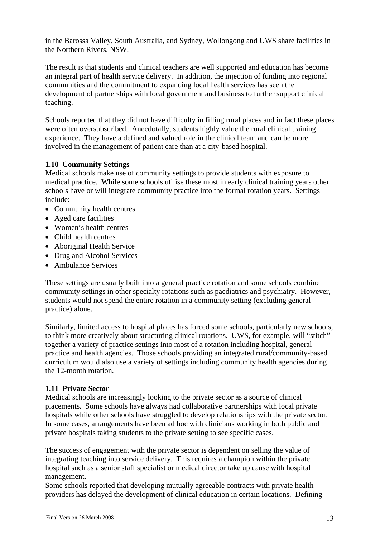in the Barossa Valley, South Australia, and Sydney, Wollongong and UWS share facilities in the Northern Rivers, NSW.

The result is that students and clinical teachers are well supported and education has become an integral part of health service delivery. In addition, the injection of funding into regional communities and the commitment to expanding local health services has seen the development of partnerships with local government and business to further support clinical teaching.

Schools reported that they did not have difficulty in filling rural places and in fact these places were often oversubscribed. Anecdotally, students highly value the rural clinical training experience. They have a defined and valued role in the clinical team and can be more involved in the management of patient care than at a city-based hospital.

#### **1.10 Community Settings**

Medical schools make use of community settings to provide students with exposure to medical practice. While some schools utilise these most in early clinical training years other schools have or will integrate community practice into the formal rotation years. Settings include:

- Community health centres
- Aged care facilities
- Women's health centres
- Child health centres
- Aboriginal Health Service
- Drug and Alcohol Services
- Ambulance Services

These settings are usually built into a general practice rotation and some schools combine community settings in other specialty rotations such as paediatrics and psychiatry. However, students would not spend the entire rotation in a community setting (excluding general practice) alone.

Similarly, limited access to hospital places has forced some schools, particularly new schools, to think more creatively about structuring clinical rotations. UWS, for example, will "stitch" together a variety of practice settings into most of a rotation including hospital, general practice and health agencies. Those schools providing an integrated rural/community-based curriculum would also use a variety of settings including community health agencies during the 12-month rotation.

#### **1.11 Private Sector**

Medical schools are increasingly looking to the private sector as a source of clinical placements. Some schools have always had collaborative partnerships with local private hospitals while other schools have struggled to develop relationships with the private sector. In some cases, arrangements have been ad hoc with clinicians working in both public and private hospitals taking students to the private setting to see specific cases.

The success of engagement with the private sector is dependent on selling the value of integrating teaching into service delivery. This requires a champion within the private hospital such as a senior staff specialist or medical director take up cause with hospital management.

Some schools reported that developing mutually agreeable contracts with private health providers has delayed the development of clinical education in certain locations. Defining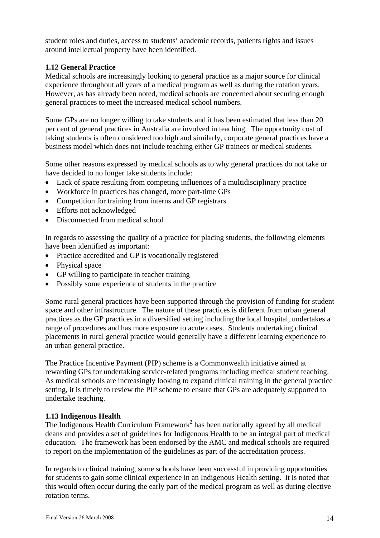student roles and duties, access to students' academic records, patients rights and issues around intellectual property have been identified.

#### **1.12 General Practice**

Medical schools are increasingly looking to general practice as a major source for clinical experience throughout all years of a medical program as well as during the rotation years. However, as has already been noted, medical schools are concerned about securing enough general practices to meet the increased medical school numbers.

Some GPs are no longer willing to take students and it has been estimated that less than 20 per cent of general practices in Australia are involved in teaching. The opportunity cost of taking students is often considered too high and similarly, corporate general practices have a business model which does not include teaching either GP trainees or medical students.

Some other reasons expressed by medical schools as to why general practices do not take or have decided to no longer take students include:

- Lack of space resulting from competing influences of a multidisciplinary practice
- Workforce in practices has changed, more part-time GPs
- Competition for training from interns and GP registrars
- Efforts not acknowledged
- Disconnected from medical school

In regards to assessing the quality of a practice for placing students, the following elements have been identified as important:

- Practice accredited and GP is vocationally registered
- Physical space
- GP willing to participate in teacher training
- Possibly some experience of students in the practice

Some rural general practices have been supported through the provision of funding for student space and other infrastructure. The nature of these practices is different from urban general practices as the GP practices in a diversified setting including the local hospital, undertakes a range of procedures and has more exposure to acute cases. Students undertaking clinical placements in rural general practice would generally have a different learning experience to an urban general practice.

The Practice Incentive Payment (PIP) scheme is a Commonwealth initiative aimed at rewarding GPs for undertaking service-related programs including medical student teaching. As medical schools are increasingly looking to expand clinical training in the general practice setting, it is timely to review the PIP scheme to ensure that GPs are adequately supported to undertake teaching.

#### **1.13 Indigenous Health**

The Indigenous Health Curriculum Framework<sup>2</sup> has been nationally agreed by all medical deans and provides a set of guidelines for Indigenous Health to be an integral part of medical education. The framework has been endorsed by the AMC and medical schools are required to report on the implementation of the guidelines as part of the accreditation process.

In regards to clinical training, some schools have been successful in providing opportunities for students to gain some clinical experience in an Indigenous Health setting. It is noted that this would often occur during the early part of the medical program as well as during elective rotation terms.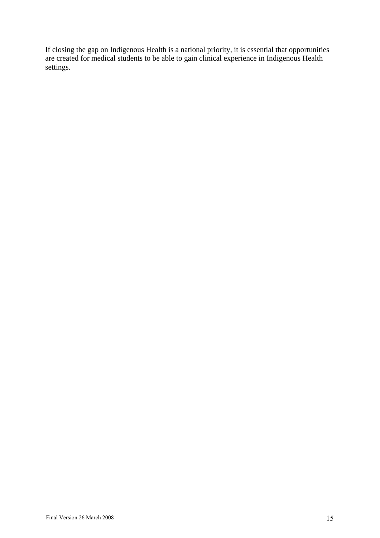If closing the gap on Indigenous Health is a national priority, it is essential that opportunities are created for medical students to be able to gain clinical experience in Indigenous Health settings.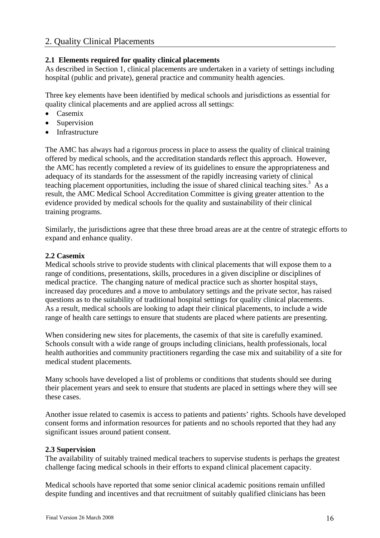### 2. Quality Clinical Placements

#### **2.1 Elements required for quality clinical placements**

As described in Section 1, clinical placements are undertaken in a variety of settings including hospital (public and private), general practice and community health agencies.

Three key elements have been identified by medical schools and jurisdictions as essential for quality clinical placements and are applied across all settings:

- Casemix
- **Supervision**
- **Infrastructure**

The AMC has always had a rigorous process in place to assess the quality of clinical training offered by medical schools, and the accreditation standards reflect this approach. However, the AMC has recently completed a review of its guidelines to ensure the appropriateness and adequacy of its standards for the assessment of the rapidly increasing variety of clinical teaching placement opportunities, including the issue of shared clinical teaching sites.<sup>3</sup> As a result, the AMC Medical School Accreditation Committee is giving greater attention to the evidence provided by medical schools for the quality and sustainability of their clinical training programs.

Similarly, the jurisdictions agree that these three broad areas are at the centre of strategic efforts to expand and enhance quality.

#### **2.2 Casemix**

Medical schools strive to provide students with clinical placements that will expose them to a range of conditions, presentations, skills, procedures in a given discipline or disciplines of medical practice. The changing nature of medical practice such as shorter hospital stays, increased day procedures and a move to ambulatory settings and the private sector, has raised questions as to the suitability of traditional hospital settings for quality clinical placements. As a result, medical schools are looking to adapt their clinical placements, to include a wide range of health care settings to ensure that students are placed where patients are presenting.

When considering new sites for placements, the casemix of that site is carefully examined. Schools consult with a wide range of groups including clinicians, health professionals, local health authorities and community practitioners regarding the case mix and suitability of a site for medical student placements.

Many schools have developed a list of problems or conditions that students should see during their placement years and seek to ensure that students are placed in settings where they will see these cases.

Another issue related to casemix is access to patients and patients' rights. Schools have developed consent forms and information resources for patients and no schools reported that they had any significant issues around patient consent.

#### **2.3 Supervision**

The availability of suitably trained medical teachers to supervise students is perhaps the greatest challenge facing medical schools in their efforts to expand clinical placement capacity.

Medical schools have reported that some senior clinical academic positions remain unfilled despite funding and incentives and that recruitment of suitably qualified clinicians has been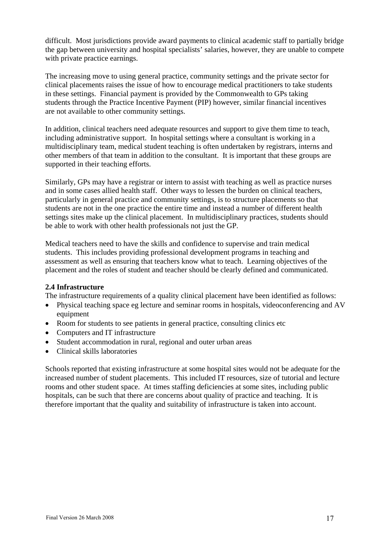difficult. Most jurisdictions provide award payments to clinical academic staff to partially bridge the gap between university and hospital specialists' salaries, however, they are unable to compete with private practice earnings.

The increasing move to using general practice, community settings and the private sector for clinical placements raises the issue of how to encourage medical practitioners to take students in these settings. Financial payment is provided by the Commonwealth to GPs taking students through the Practice Incentive Payment (PIP) however, similar financial incentives are not available to other community settings.

In addition, clinical teachers need adequate resources and support to give them time to teach, including administrative support. In hospital settings where a consultant is working in a multidisciplinary team, medical student teaching is often undertaken by registrars, interns and other members of that team in addition to the consultant. It is important that these groups are supported in their teaching efforts.

Similarly, GPs may have a registrar or intern to assist with teaching as well as practice nurses and in some cases allied health staff. Other ways to lessen the burden on clinical teachers, particularly in general practice and community settings, is to structure placements so that students are not in the one practice the entire time and instead a number of different health settings sites make up the clinical placement. In multidisciplinary practices, students should be able to work with other health professionals not just the GP.

Medical teachers need to have the skills and confidence to supervise and train medical students. This includes providing professional development programs in teaching and assessment as well as ensuring that teachers know what to teach. Learning objectives of the placement and the roles of student and teacher should be clearly defined and communicated.

#### **2.4 Infrastructure**

The infrastructure requirements of a quality clinical placement have been identified as follows:

- Physical teaching space eg lecture and seminar rooms in hospitals, videoconferencing and AV equipment
- Room for students to see patients in general practice, consulting clinics etc
- Computers and IT infrastructure
- Student accommodation in rural, regional and outer urban areas
- Clinical skills laboratories

Schools reported that existing infrastructure at some hospital sites would not be adequate for the increased number of student placements. This included IT resources, size of tutorial and lecture rooms and other student space. At times staffing deficiencies at some sites, including public hospitals, can be such that there are concerns about quality of practice and teaching. It is therefore important that the quality and suitability of infrastructure is taken into account.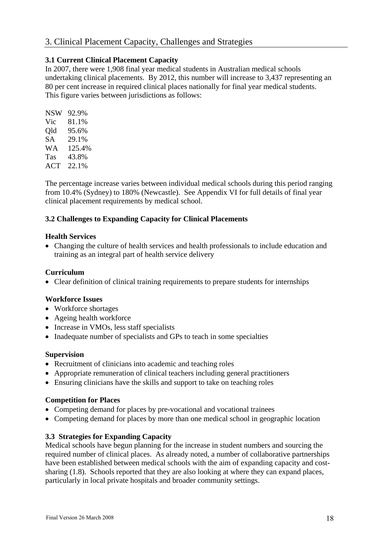## 3. Clinical Placement Capacity, Challenges and Strategies

#### **3.1 Current Clinical Placement Capacity**

In 2007, there were 1,908 final year medical students in Australian medical schools undertaking clinical placements. By 2012, this number will increase to 3,437 representing an 80 per cent increase in required clinical places nationally for final year medical students. This figure varies between jurisdictions as follows:

| NSW | 92.9%  |
|-----|--------|
| Vic | 81.1%  |
| Old | 95.6%  |
| SА  | 29.1%  |
| WА  | 125.4% |
| Tas | 43.8%  |
| ACT | 22.1%  |

The percentage increase varies between individual medical schools during this period ranging from 10.4% (Sydney) to 180% (Newcastle). See Appendix VI for full details of final year clinical placement requirements by medical school.

#### **3.2 Challenges to Expanding Capacity for Clinical Placements**

#### **Health Services**

• Changing the culture of health services and health professionals to include education and training as an integral part of health service delivery

#### **Curriculum**

• Clear definition of clinical training requirements to prepare students for internships

#### **Workforce Issues**

- Workforce shortages
- Ageing health workforce
- Increase in VMOs, less staff specialists
- Inadequate number of specialists and GPs to teach in some specialties

#### **Supervision**

- Recruitment of clinicians into academic and teaching roles
- Appropriate remuneration of clinical teachers including general practitioners
- Ensuring clinicians have the skills and support to take on teaching roles

#### **Competition for Places**

- Competing demand for places by pre-vocational and vocational trainees
- Competing demand for places by more than one medical school in geographic location

#### **3.3 Strategies for Expanding Capacity**

Medical schools have begun planning for the increase in student numbers and sourcing the required number of clinical places. As already noted, a number of collaborative partnerships have been established between medical schools with the aim of expanding capacity and costsharing (1.8). Schools reported that they are also looking at where they can expand places, particularly in local private hospitals and broader community settings.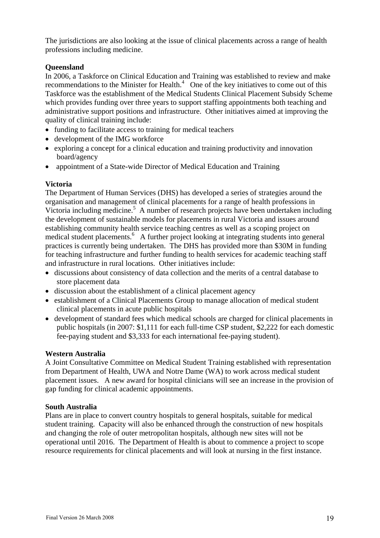The jurisdictions are also looking at the issue of clinical placements across a range of health professions including medicine.

#### **Queensland**

In 2006, a Taskforce on Clinical Education and Training was established to review and make recommendations to the Minister for Health. $4$  One of the key initiatives to come out of this Taskforce was the establishment of the Medical Students Clinical Placement Subsidy Scheme which provides funding over three years to support staffing appointments both teaching and administrative support positions and infrastructure. Other initiatives aimed at improving the quality of clinical training include:

- funding to facilitate access to training for medical teachers
- development of the IMG workforce
- exploring a concept for a clinical education and training productivity and innovation board/agency
- appointment of a State-wide Director of Medical Education and Training

#### **Victoria**

The Department of Human Services (DHS) has developed a series of strategies around the organisation and management of clinical placements for a range of health professions in Victoria including medicine.<sup>5</sup> A number of research projects have been undertaken including the development of sustainable models for placements in rural Victoria and issues around establishing community health service teaching centres as well as a scoping project on medical student placements.<sup>6</sup> A further project looking at integrating students into general practices is currently being undertaken. The DHS has provided more than \$30M in funding for teaching infrastructure and further funding to health services for academic teaching staff and infrastructure in rural locations. Other initiatives include:

- discussions about consistency of data collection and the merits of a central database to store placement data
- discussion about the establishment of a clinical placement agency
- establishment of a Clinical Placements Group to manage allocation of medical student clinical placements in acute public hospitals
- development of standard fees which medical schools are charged for clinical placements in public hospitals (in 2007: \$1,111 for each full-time CSP student, \$2,222 for each domestic fee-paying student and \$3,333 for each international fee-paying student).

#### **Western Australia**

A Joint Consultative Committee on Medical Student Training established with representation from Department of Health, UWA and Notre Dame (WA) to work across medical student placement issues. A new award for hospital clinicians will see an increase in the provision of gap funding for clinical academic appointments.

#### **South Australia**

Plans are in place to convert country hospitals to general hospitals, suitable for medical student training. Capacity will also be enhanced through the construction of new hospitals and changing the role of outer metropolitan hospitals, although new sites will not be operational until 2016. The Department of Health is about to commence a project to scope resource requirements for clinical placements and will look at nursing in the first instance.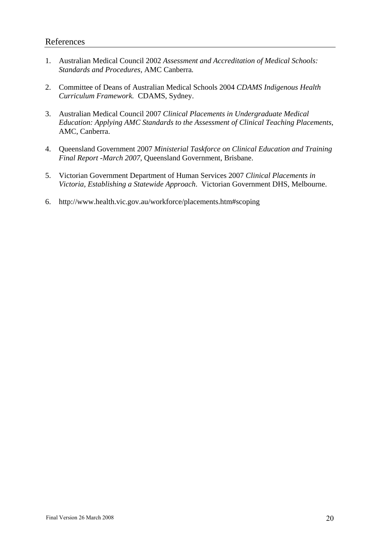- 1. Australian Medical Council 2002 *Assessment and Accreditation of Medical Schools: Standards and Procedures,* AMC Canberra*.*
- 2. Committee of Deans of Australian Medical Schools 2004 *CDAMS Indigenous Health Curriculum Framework.* CDAMS, Sydney.
- 3. Australian Medical Council 2007 *Clinical Placements in Undergraduate Medical Education: Applying AMC Standards to the Assessment of Clinical Teaching Placements*, AMC, Canberra.
- 4. Queensland Government 2007 *Ministerial Taskforce on Clinical Education and Training Final Report -March 2007*, Queensland Government, Brisbane.
- 5. Victorian Government Department of Human Services 2007 *Clinical Placements in Victoria, Establishing a Statewide Approach*. Victorian Government DHS, Melbourne.
- 6. http://www.health.vic.gov.au/workforce/placements.htm#scoping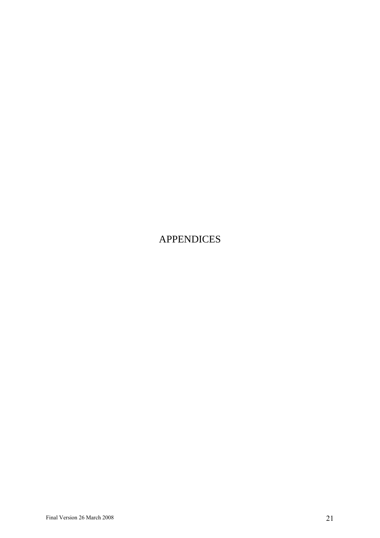# APPENDICES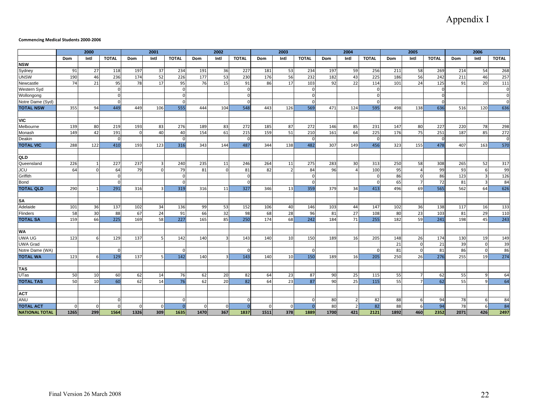## Appendix I

#### **Commencing Medical Students 2000‐2006**

|                                    |      | 2000            |              |             | 2001 |                  |          | 2002     |              |      | 2003           |              |      | 2004     |              |           | 2005                 |              |           | 2006                    |              |
|------------------------------------|------|-----------------|--------------|-------------|------|------------------|----------|----------|--------------|------|----------------|--------------|------|----------|--------------|-----------|----------------------|--------------|-----------|-------------------------|--------------|
|                                    | Dom  | Intl            | <b>TOTAL</b> | Dom         | Intl | <b>TOTAL</b>     | Dom      | Intl     | <b>TOTAL</b> | Dom  | Intl           | <b>TOTAL</b> | Dom  | Intl     | <b>TOTAL</b> | Dom       | Intl                 | <b>TOTAL</b> | Dom       | Intl                    | <b>TOTAL</b> |
| <b>NSW</b>                         |      |                 |              |             |      |                  |          |          |              |      |                |              |      |          |              |           |                      |              |           |                         |              |
| Sydney                             | 91   | 27              | 118          | 197         | 37   | 234              | 191      | 36       | 227          | 181  | 53             | 234          | 197  | 59       | 256          | 211       | 58                   | 269          | 214       | 54                      | 268          |
| <b>UNSW</b>                        | 190  | 46              | 236          | 174         | 52   | 226              | 177      | 53       | 230          | 176  | 56             | 232          | 182  | 43       | 225          | 186       | 56                   | 242          | 211       | 46                      | 257          |
| Newcastle                          | 74   | 21              | 95           | 78          | 17   | 95               | 76       | 15       | 91           | 86   | 17             | 103          | 92   | 22       | 114          | 101       | 24                   | 125          | 91        | 20                      | 111          |
| Western Syd                        |      |                 |              |             |      | $\Omega$         |          |          | $\Omega$     |      |                | $\Omega$     |      |          | $\Omega$     |           |                      | $\Omega$     |           |                         | $\pmb{0}$    |
| Wollongong                         |      |                 |              |             |      | $\Omega$         |          |          | $\Omega$     |      |                |              |      |          |              |           |                      |              |           |                         | $\mathbf 0$  |
| Notre Dame (Syd)                   |      |                 |              |             |      | $\Omega$         |          |          | $\Omega$     |      |                | $\Omega$     |      |          | $\Omega$     |           |                      |              |           |                         | $\Omega$     |
| <b>TOTAL NSW</b>                   | 355  | 94              | 449          | 449         | 106  | 555              | 444      | 104      | 548          | 443  | 126            | 569          | 471  | 124      | 595          | 498       | 138                  | 636          | 516       | 120                     | 636          |
|                                    |      |                 |              |             |      |                  |          |          |              |      |                |              |      |          |              |           |                      |              |           |                         |              |
| <b>VIC</b>                         |      |                 |              |             |      |                  |          |          |              |      |                |              |      |          |              |           |                      |              |           |                         |              |
| Melbourne                          | 139  | 80              | 219          | 193         | 83   | 276              | 189      | 83       | 272          | 185  | 87             | 272          | 146  | 85       | 231          | 147       | 80                   | 227          | 220       | 78                      | 298          |
| Monash                             | 149  | 42              | 191          | $\Omega$    | 40   | 40               | 154      | 61       | 215          | 159  | 51             | 210          | 161  | 64       | 225          | 176       | 75                   | 251          | 187       | 85                      | 272          |
| Deakin                             |      |                 | $\Omega$     |             |      | $\Omega$         |          |          | $\Omega$     |      |                | $\Omega$     |      |          | $\Omega$     |           |                      | $\Omega$     |           |                         | $\mathbf 0$  |
| <b>TOTAL VIC</b>                   | 288  | 122             | 410          | 193         | 123  | 316              | 343      | 144      | 487          | 344  | 138            | 482          | 307  | 149      | 456          | 323       | 155                  | 478          | 407       | 163                     | 570          |
|                                    |      |                 |              |             |      |                  |          |          |              |      |                |              |      |          |              |           |                      |              |           |                         |              |
| QLD                                |      |                 |              |             |      |                  |          |          |              |      |                |              |      |          |              |           |                      |              |           |                         |              |
| Queensland                         | 226  |                 | 227          | 237         |      | 240              | 235      | 11       | 246          | 264  | 11             | 275          | 283  | 30       | 313          | 250       | 58                   | 308          | 265       | 52                      | 317          |
| <b>JCU</b>                         | 64   | $\Omega$        | 64           | 79          |      | 79               | 81       | $\Omega$ | 81           | 82   | $\overline{2}$ | 84           | 96   | $\Delta$ | 100          | 95        |                      | 99           | 93        | 6                       | 99           |
| Griffith                           |      |                 | $\Omega$     |             |      | $\Omega$         |          |          | $\Omega$     |      |                | $\cap$       |      |          | $\Omega$     | 86        | $\Omega$             | 86           | 123       | 3                       | 126          |
| <b>Bond</b>                        |      |                 |              |             |      | $\Omega$         |          |          | $\Omega$     |      |                |              |      |          | $\Omega$     | 65        | $\overline{7}$       | 72           | 81        | 3                       | 84           |
| <b>TOTAL QLD</b>                   | 290  |                 | 291          | 316         |      | 319              | 316      | 11       | 327          | 346  | 13             | 359          | 379  | 34       | 413          | 496       | 69                   | 565          | 562       | 64                      | 626          |
|                                    |      |                 |              |             |      |                  |          |          |              |      |                |              |      |          |              |           |                      |              |           |                         |              |
| SA                                 |      |                 |              |             |      |                  |          |          |              |      |                |              |      |          |              |           |                      |              |           |                         |              |
| Adelaide                           | 101  | 36              | 137          | 102         | 34   | 136              | -99      | -53      | 152          | 106  | 40             | 146          | 103  | 44       | 147          | 102       | 36                   | 138          | 117       | 16                      | 133          |
| Flinders                           | 58   | 30              | 88           | 67          | 24   | 91               | 66       | 32       | 98           | 68   | 28             | 96           | 81   | 27       | 108          | 80        | 23                   | 103          | 81        | 29                      | 110          |
| <b>TOTAL SA</b>                    | 159  | 66              | 225          | 169         | 58   | $\overline{227}$ | 165      | 85       | 250          | 174  | 68             | 242          | 184  | 71       | 255          | 182       | 59                   | 241          | 198       | 45                      | 243          |
|                                    |      |                 |              |             |      |                  |          |          |              |      |                |              |      |          |              |           |                      |              |           |                         |              |
| <b>WA</b><br><b>UWA UG</b>         |      |                 |              |             |      |                  |          |          |              |      |                |              |      |          |              |           |                      |              |           |                         |              |
|                                    | 123  |                 | 129          | 137         |      | 142              | 140      |          | 143          | 140  | 10             | 150          | 189  | 16       | 205          | 148       | 26                   | 174          | 130       | 19                      | 149          |
| <b>UWA Grad</b><br>Notre Dame (WA) |      |                 |              |             |      | C                |          |          | $\Omega$     |      |                |              |      |          | $\cap$       | 21        | $\Omega$<br>$\Omega$ | 21           | 39        | $\mathbf 0$<br>$\Omega$ | 39<br>86     |
| <b>TOTAL WA</b>                    | 123  |                 | 129          | 137         |      | 142              | 140      |          | 143          | 140  | 10             | 150          | 189  | 16       | 205          | 81<br>250 | 26                   | 81<br>276    | 86<br>255 | 19                      | 274          |
|                                    |      | 6               |              |             |      |                  |          |          |              |      |                |              |      |          |              |           |                      |              |           |                         |              |
| <b>TAS</b>                         |      |                 |              |             |      |                  |          |          |              |      |                |              |      |          |              |           |                      |              |           |                         |              |
| UTas                               | 50   | 10              | 60           | 62          | 14   | 76               | 62       | 20       | 82           | 64   | 23             | 87           | 90   | 25       | 115          | 55        |                      | 62           | 55        | q                       | 64           |
| <b>TOTAL TAS</b>                   | 50   | 10 <sup>1</sup> | 60           | 62          | 14   | 76               | 62       | 20       | 82           | 64   | 23             | 87           | 90   | 25       | 115          | 55        |                      | 62           | 55        | q                       | 64           |
|                                    |      |                 |              |             |      |                  |          |          |              |      |                |              |      |          |              |           |                      |              |           |                         |              |
| <b>ACT</b>                         |      |                 |              |             |      |                  |          |          |              |      |                |              |      |          |              |           |                      |              |           |                         |              |
| <b>ANU</b>                         |      |                 |              |             |      | $\Omega$         |          |          | $\Omega$     |      |                |              | 80   |          | 82           | 88        |                      | 94           | 78        | 6                       | 84           |
| <b>TOTAL ACT</b>                   |      | 0               |              | $\mathbf 0$ |      | $\overline{0}$   | $\Omega$ |          | $\Omega$     |      |                |              | 80   |          | 82           | 88        |                      | 94           | 78        | 6                       | 84           |
| <b>NATIONAL TOTAL</b>              | 1265 | 299             | 1564         | 1326        | 309  | 1635             | 1470     | 367      | 1837         | 1511 | 378            | 1889         | 1700 | 421      | 2121         | 1892      | 460                  | 2352         | 2071      | 426                     | 2497         |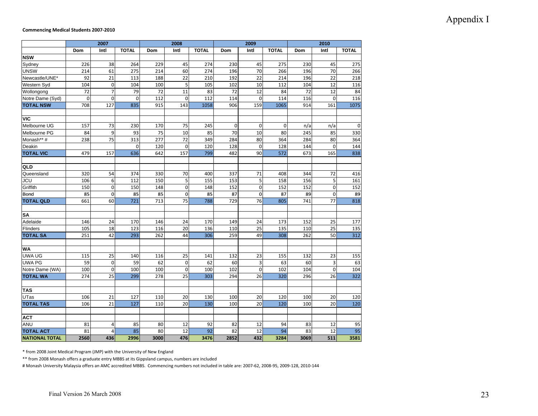## Appendix I

#### **Commencing Medical Students 2007‐2010**

|                       |             | 2007                    |              |      | 2008            |              |             | 2009            |              |      | 2010         |              |
|-----------------------|-------------|-------------------------|--------------|------|-----------------|--------------|-------------|-----------------|--------------|------|--------------|--------------|
|                       | Dom         | Intl                    | <b>TOTAL</b> | Dom  | Intl            | <b>TOTAL</b> | Dom         | Intl            | <b>TOTAL</b> | Dom  | Intl         | <b>TOTAL</b> |
| <b>NSW</b>            |             |                         |              |      |                 |              |             |                 |              |      |              |              |
| Sydney                | 226         | 38                      | 264          | 229  | 45              | 274          | 230         | 45              | 275          | 230  | 45           | 275          |
| <b>UNSW</b>           | 214         | 61                      | 275          | 214  | 60              | 274          | 196         | 70              | 266          | 196  | 70           | 266          |
| Newcastle/UNE*        | 92          | $\overline{21}$         | 113          | 188  | $\overline{22}$ | 210          | 192         | $\overline{22}$ | 214          | 196  | 22           | 218          |
| Western Syd           | 104         | $\mathbf 0$             | 104          | 100  | 5               | 105          | 102         | 10              | 112          | 104  | 12           | 116          |
| Wollongong            | 72          | $\overline{7}$          | 79           | 72   | 11              | 83           | 72          | 12              | 84           | 72   | 12           | 84           |
| Notre Dame (Syd)      | $\mathbf 0$ | $\mathbf 0$             | $\mathbf 0$  | 112  | $\mathbf 0$     | 112          | 114         | $\mathbf 0$     | 114          | 116  | $\mathbf 0$  | 116          |
| <b>TOTAL NSW</b>      | 708         | 127                     | 835          | 915  | 143             | 1058         | 906         | 159             | 1065         | 914  | 161          | 1075         |
|                       |             |                         |              |      |                 |              |             |                 |              |      |              |              |
| <b>VIC</b>            |             |                         |              |      |                 |              |             |                 |              |      |              |              |
| Melbourne UG          | 157         | 73                      | 230          | 170  | 75              | 245          | $\mathbf 0$ | $\mathbf 0$     | $\mathbf 0$  | n/a  | n/a          | $\mathbf 0$  |
| Melbourne PG          | 84          | 9                       | 93           | 75   | 10              | 85           | 70          | 10              | 80           | 245  | 85           | 330          |
| Monash** #            | 238         | 75                      | 313          | 277  | 72              | 349          | 284         | 80              | 364          | 284  | 80           | 364          |
| Deakin                |             |                         | $\Omega$     | 120  | $\overline{0}$  | 120          | 128         | $\mathbf 0$     | 128          | 144  | $\Omega$     | 144          |
| <b>TOTAL VIC</b>      | 479         | 157                     | 636          | 642  | 157             | 799          | 482         | 90              | 572          | 673  | 165          | 838          |
|                       |             |                         |              |      |                 |              |             |                 |              |      |              |              |
| QLD                   |             |                         |              |      |                 |              |             |                 |              |      |              |              |
| Queensland            | 320         | 54                      | 374          | 330  | 70              | 400          | 337         | 71              | 408          | 344  | 72           | 416          |
| JCU                   | 106         | 6                       | 112          | 150  | 5               | 155          | 153         | 5               | 158          | 156  | 5            | 161          |
| Griffith              | 150         | $\mathbf 0$             | 150          | 148  | $\mathbf 0$     | 148          | 152         | $\mathbf 0$     | 152          | 152  | $\mathbf 0$  | 152          |
| Bond                  | 85          | $\overline{\mathbf{0}}$ | 85           | 85   | $\mathbf 0$     | 85           | 87          | $\bf{0}$        | 87           | 89   | $\mathbf{0}$ | 89           |
| <b>TOTAL QLD</b>      | 661         | 60                      | 721          | 713  | 75              | 788          | 729         | 76              | 805          | 741  | 77           | 818          |
|                       |             |                         |              |      |                 |              |             |                 |              |      |              |              |
| SA                    |             |                         |              |      |                 |              |             |                 |              |      |              |              |
| Adelaide              | 146         | 24                      | 170          | 146  | 24              | 170          | 149         | 24              | 173          | 152  | 25           | 177          |
| Flinders              | 105         | 18                      | 123          | 116  | 20              | 136          | 110         | 25              | 135          | 110  | 25           | 135          |
| <b>TOTAL SA</b>       | 251         | 42                      | 293          | 262  | 44              | 306          | 259         | 49              | 308          | 262  | 50           | 312          |
|                       |             |                         |              |      |                 |              |             |                 |              |      |              |              |
| <b>WA</b>             |             |                         |              |      |                 |              |             |                 |              |      |              |              |
| <b>UWA UG</b>         | 115         | 25                      | 140          | 116  | 25              | 141          | 132         | 23              | 155          | 132  | 23           | 155          |
| <b>UWA PG</b>         | 59          | $\mathbf 0$             | 59           | 62   | $\mathbf 0$     | 62           | 60          | 3               | 63           | 60   | 3            | 63           |
| Notre Dame (WA)       | 100         | $\mathbf 0$             | 100          | 100  | $\mathbf 0$     | 100          | 102         | $\mathbf 0$     | 102          | 104  | $\mathbf 0$  | 104          |
| <b>TOTAL WA</b>       | 274         | $\overline{25}$         | 299          | 278  | $\overline{25}$ | 303          | 294         | 26              | 320          | 296  | 26           | 322          |
|                       |             |                         |              |      |                 |              |             |                 |              |      |              |              |
| <b>TAS</b>            |             |                         |              |      |                 |              |             |                 |              |      |              |              |
| $\overline{UT}$ as    | 106         | 21                      | 127          | 110  | 20              | 130          | 100         | 20              | 120          | 100  | 20           | 120          |
| <b>TOTAL TAS</b>      | 106         | 21                      | 127          | 110  | 20              | 130          | 100         | 20              | 120          | 100  | 20           | 120          |
|                       |             |                         |              |      |                 |              |             |                 |              |      |              |              |
| <b>ACT</b>            |             |                         |              |      |                 |              |             |                 |              |      |              |              |
| <b>ANU</b>            | 81          | 4                       | 85           | 80   | 12              | 92           | 82          | 12              | 94           | 83   | 12           | 95           |
| <b>TOTAL ACT</b>      | 81          | 4                       | 85           | 80   | 12              | 92           | 82          | 12              | 94           | 83   | 12           | 95           |
| <b>NATIONAL TOTAL</b> | 2560        | 436                     | 2996         | 3000 | 476             | 3476         | 2852        | 432             | 3284         | 3069 | 511          | 3581         |

\* from 2008 Joint Medical Program (JMP) with the University of New England

\*\* from 2008 Monash offers <sup>a</sup> graduate entry MBBS at its Gippsland campus, numbers are included

# Monash University Malaysia offers an AMC accredited MBBS. Commencing numbers not included in table are: 2007‐62, 2008‐95, 2009‐128, 2010‐144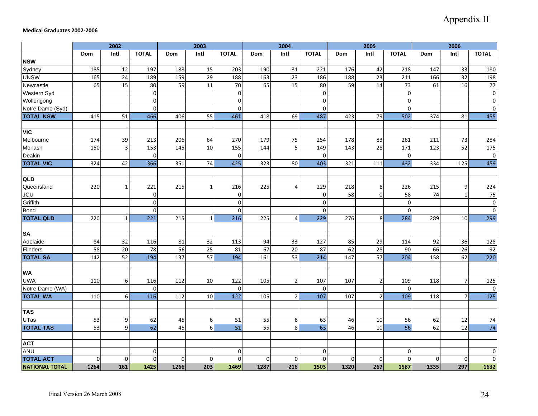#### **Medical Graduates 2002‐2006**

|                       |      | 2002            |              |                 | 2003            |                  |             | 2004            |              |                | 2005            |                 |          | 2006            |              |
|-----------------------|------|-----------------|--------------|-----------------|-----------------|------------------|-------------|-----------------|--------------|----------------|-----------------|-----------------|----------|-----------------|--------------|
|                       | Dom  | Intl            | <b>TOTAL</b> | Dom             | Intl            | <b>TOTAL</b>     | Dom         | Intl            | <b>TOTAL</b> | <b>Dom</b>     | Intl            | <b>TOTAL</b>    | Dom      | Intl            | <b>TOTAL</b> |
| <b>NSW</b>            |      |                 |              |                 |                 |                  |             |                 |              |                |                 |                 |          |                 |              |
| Sydney                | 185  | 12              | 197          | 188             | 15              | 203              | 190         | 31              | 221          | 176            | 42              | 218             | 147      | 33              | 180          |
| <b>UNSW</b>           | 165  | 24              | 189          | 159             | 29              | 188              | 163         | $\overline{23}$ | 186          | 188            | 23              | 211             | 166      | 32              | 198          |
| Newcastle             | 65   | $\overline{15}$ | 80           | 59              | $\overline{11}$ | 70               | 65          | $\overline{15}$ | 80           | 59             | 14              | $\overline{73}$ | 61       | 16              | 77           |
| Western Syd           |      |                 | $\mathbf 0$  |                 |                 | $\overline{0}$   |             |                 | $\mathbf 0$  |                |                 | $\Omega$        |          |                 | $\mathbf 0$  |
| Wollongong            |      |                 | $\mathbf 0$  |                 |                 | $\overline{0}$   |             |                 | $\mathbf 0$  |                |                 | $\Omega$        |          |                 | $\pmb{0}$    |
| Notre Dame (Syd)      |      |                 | 0            |                 |                 | $\Omega$         |             |                 | $\mathbf 0$  |                |                 | $\Omega$        |          |                 | $\pmb{0}$    |
| <b>TOTAL NSW</b>      | 415  | 51              | 466          | 406             | 55              | 461              | 418         | 69              | 487          | 423            | 79              | 502             | 374      | 81              | 455          |
| <b>VIC</b>            |      |                 |              |                 |                 |                  |             |                 |              |                |                 |                 |          |                 |              |
| Melbourne             | 174  | 39              | 213          | 206             | 64              | 270              | 179         | 75              | 254          | 178            | 83              | 261             | 211      | 73              | 284          |
| Monash                | 150  | $\mathbf{3}$    | 153          | 145             | 10              | 155              | 144         | 5               | 149          | 143            | 28              | 171             | 123      | 52              | 175          |
| Deakin                |      |                 | $\mathbf 0$  |                 |                 | $\overline{0}$   |             |                 | $\mathbf 0$  |                |                 | $\mathbf 0$     |          |                 | $\mathbf 0$  |
| <b>TOTAL VIC</b>      | 324  | 42              | 366          | 351             | 74              | 425              | 323         | 80              | 403          | 321            | 111             | 432             | 334      | 125             | 459          |
| QLD                   |      |                 |              |                 |                 |                  |             |                 |              |                |                 |                 |          |                 |              |
| Queensland            | 220  | $\mathbf 1$     | 221          | 215             |                 | 216              | 225         | $\overline{4}$  | 229          | 218            | $8\phantom{1}$  | 226             | 215      | 9               | 224          |
| <b>JCU</b>            |      |                 | $\bf{0}$     |                 |                 | $\overline{0}$   |             |                 | $\bf{0}$     | 58             | $\mathbf{0}$    | 58              | 74       | $\overline{1}$  | 75           |
| Griffith              |      |                 | $\mathbf{0}$ |                 |                 | $\overline{0}$   |             |                 | $\mathbf 0$  |                |                 | $\Omega$        |          |                 | $\pmb{0}$    |
| <b>Bond</b>           |      |                 | $\Omega$     |                 |                 | $\Omega$         |             |                 | $\Omega$     |                |                 | $\Omega$        |          |                 | $\mathbf 0$  |
| <b>TOTAL QLD</b>      | 220  | $\mathbf 1$     | 221          | 215             | 1               | 216              | 225         | 4               | 229          | 276            | $\bf 8$         | 284             | 289      | 10              | 299          |
|                       |      |                 |              |                 |                 |                  |             |                 |              |                |                 |                 |          |                 |              |
| <b>SA</b>             |      |                 |              |                 |                 |                  |             |                 |              |                |                 |                 |          |                 |              |
| Adelaide              | 84   | 32              | 116          | 81              | 32              | 113              | 94          | 33              | 127          | 85             | 29              | 114             | 92       | 36              | 128          |
| Flinders              | 58   | 20              | 78           | 56              | 25              | 81               | 67          | 20              | 87           | 62             | 28              | 90              | 66       | 26              | 92           |
| <b>TOTAL SA</b>       | 142  | 52              | 194          | $\frac{137}{2}$ | $\overline{57}$ | 194              | 161         | 53              | 214          | 147            | $\overline{57}$ | 204             | 158      | 62              | 220          |
| <b>WA</b>             |      |                 |              |                 |                 |                  |             |                 |              |                |                 |                 |          |                 |              |
| <b>UWA</b>            | 110  | 6               | 116          | 112             | 10              | 122              | 105         | $\overline{2}$  | 107          | 107            | $\mathbf 2$     | 109             | 118      | $\overline{7}$  | 125          |
| Notre Dame (WA)       |      |                 | 0            |                 |                 | $\mathbf 0$      |             |                 | 0            |                |                 | $\Omega$        |          |                 | 0            |
| <b>TOTAL WA</b>       | 110  | 6               | 116          | 112             | 10              | $\overline{122}$ | 105         | $\overline{2}$  | 107          | 107            | $\overline{2}$  | 109             | 118      | $\overline{7}$  | 125          |
| <b>TAS</b>            |      |                 |              |                 |                 |                  |             |                 |              |                |                 |                 |          |                 |              |
| <b>UTas</b>           | 53   | 9               | 62           | 45              | 6               | 51               | 55          | $\bf 8$         | 63           | 46             | 10              | 56              | 62       | 12              | 74           |
| <b>TOTAL TAS</b>      | 53   | $\overline{9}$  | 62           | 45              | 6               | $\overline{51}$  | 55          | $\infty$        | 63           | 46             | 10              | $\overline{56}$ | 62       | $\overline{12}$ | 74           |
| <b>ACT</b>            |      |                 |              |                 |                 |                  |             |                 |              |                |                 |                 |          |                 |              |
| <b>ANU</b>            |      |                 | $\mathbf 0$  |                 |                 | $\overline{0}$   |             |                 | $\mathbf 0$  |                |                 | $\Omega$        |          |                 | $\mathbf 0$  |
| <b>TOTAL ACT</b>      | 0    | 0               | $\mathbf 0$  | $\mathbf{0}$    | $\Omega$        | $\overline{0}$   | $\mathbf 0$ | $\overline{0}$  | $\mathbf 0$  | $\overline{0}$ | $\mathbf 0$     | $\Omega$        | $\Omega$ | $\mathbf 0$     | $\pmb{0}$    |
| <b>NATIONAL TOTAL</b> | 1264 | 161             | 1425         | 1266            | 203             | 1469             | 1287        | 216             | 1503         | 1320           | 267             | 1587            | 1335     | 297             | 1632         |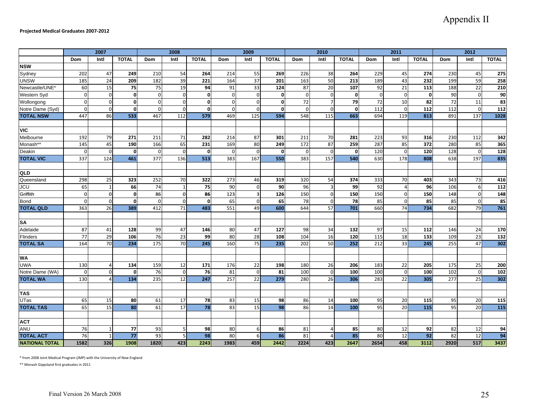|                       |                  | 2007           |              |                  | 2008           |                  |                  | 2009                    |              |             | 2010           |              |            | 2011           |              |                  | 2012             |                 |
|-----------------------|------------------|----------------|--------------|------------------|----------------|------------------|------------------|-------------------------|--------------|-------------|----------------|--------------|------------|----------------|--------------|------------------|------------------|-----------------|
|                       | Dom              | Intl           | <b>TOTAL</b> | Dom              | Intl           | <b>TOTAL</b>     | <b>Dom</b>       | Intl                    | <b>TOTAL</b> | <b>Dom</b>  | Intl           | <b>TOTAL</b> | <b>Dom</b> | Intl           | <b>TOTAL</b> | Dom              | Intl             | <b>TOTAL</b>    |
| <b>NSW</b>            |                  |                |              |                  |                |                  |                  |                         |              |             |                |              |            |                |              |                  |                  |                 |
| Sydney                | 202              | 47             | 249          | 210              | 54             | 264              | 214              | 55                      | 269          | 226         | 38             | 264          | 229        | 45             | 274          | 230              | 45               | 275             |
| <b>UNSW</b>           | 185              | 24             | 209          | 182              | 39             | 221              | 164              | 37                      | 201          | 163         | 50             | 213          | 189        | 43             | 232          | 199              | 59               | 258             |
| Newcastle/UNE*        | 60               | 15             | 75           | 75               | 19             | 94               | 91               | 33                      | 124          | 87          | 20             | 107          | 92         | 21             | 113          | 188              | 22               | 210             |
| Western Syd           | $\mathbf 0$      | $\Omega$       | $\mathbf{0}$ | $\mathbf 0$      | $\Omega$       | $\mathbf{0}$     | $\Omega$         | $\mathbf 0$             | $\mathbf{0}$ | $\mathbf 0$ | $\Omega$       | $\mathbf{0}$ | $\Omega$   | $\mathbf 0$    | $\mathbf{0}$ | 90               | $\overline{0}$   | 90              |
| Wollongong            | $\overline{0}$   | $\overline{0}$ | $\mathbf{0}$ | $\boldsymbol{0}$ | $\overline{0}$ | $\mathbf 0$      | $\Omega$         | $\mathbf 0$             | $\mathbf{0}$ | 72          | $\overline{7}$ | 79           | 72         | 10             | 82           | 72               | 11               | $\overline{83}$ |
| Notre Dame (Syd)      | $\mathbf 0$      | $\overline{0}$ | $\mathbf{0}$ | $\boldsymbol{0}$ | $\mathbf{0}$   | $\mathbf 0$      | $\Omega$         | $\mathbf 0$             | $\mathbf{0}$ | $\mathbf 0$ | $\Omega$       | $\mathbf{0}$ | 112        | $\mathbf 0$    | 112          | 112              | $\overline{0}$   | 112             |
| <b>TOTAL NSW</b>      | 447              | 86             | 533          | 467              | 112            | 579              | 469              | 125                     | 594          | 548         | 115            | 663          | 694        | 119            | 813          | 891              | 137              | 1028            |
|                       |                  |                |              |                  |                |                  |                  |                         |              |             |                |              |            |                |              |                  |                  |                 |
| <b>VIC</b>            |                  |                |              |                  |                |                  |                  |                         |              |             |                |              |            |                |              |                  |                  |                 |
| Melbourne             | 192              | 79             | 271          | 211              | 71             | 282              | 214              | 87                      | 301          | 211         | 70             | 281          | 223        | 93             | 316          | 230              | 112              | 342             |
| Monash**              | 145              | 45             | 190          | 166              | 65             | 231              | 169              | 80                      | 249          | 172         | 87             | 259          | 287        | 85             | 372          | 280              | 85               | 365             |
| Deakin                | $\Omega$         | $\Omega$       | $\Omega$     | $\mathbf 0$      | $\overline{0}$ | 0                | $\Omega$         | $\mathbf 0$             | $\Omega$     | $\Omega$    | $\Omega$       | $\Omega$     | 120        | $\overline{0}$ | 120          | 128              | $\overline{0}$   | 128             |
| <b>TOTAL VIC</b>      | 337              | 124            | 461          | 377              | 136            | 513              | 383              | 167                     | 550          | 383         | 157            | 540          | 630        | 178            | 808          | 638              | 197              | 835             |
|                       |                  |                |              |                  |                |                  |                  |                         |              |             |                |              |            |                |              |                  |                  |                 |
| QLD                   |                  |                |              |                  |                |                  |                  |                         |              |             |                |              |            |                |              |                  |                  |                 |
| Queensland            | 298              | 25             | 323          | 252              | 70             | 322              | 273              | 46                      | 319          | 320         | 54             | 374          | 333        | 70             | 403          | 343              | 73               | 416             |
| <b>JCU</b>            | 65               | $\mathbf{1}$   | 66           | 74               | $\mathbf{1}$   | 75               | 90               | $\mathbf 0$             | 90           | 96          | $\overline{3}$ | 99           | 92         | $\overline{A}$ | 96           | 106              | 6                | 112             |
| Griffith              | $\boldsymbol{0}$ | $\overline{0}$ | $\mathbf{0}$ | 86               | $\overline{0}$ | 86               | 123              | $\overline{\mathbf{3}}$ | 126          | 150         | $\overline{0}$ | 150          | 150        | $\bf{0}$       | 150          | 148              | $\mathbf 0$      | 148             |
| <b>Bond</b>           | $\overline{0}$   | $\mathbf 0$    | $\mathbf{0}$ | $\mathbf 0$      | $\overline{0}$ | $\mathbf 0$      | 65               | $\mathbf 0$             | 65           | 78          | $\mathbf{0}$   | 78           | 85         | $\mathbf 0$    | 85           | 85               | $\boldsymbol{0}$ | 85              |
| <b>TOTAL QLD</b>      | 363              | 26             | 389          | 412              | 71             | 483              | 551              | 49                      | 600          | 644         | 57             | 701          | 660        | 74             | 734          | 682              | 79               | 761             |
|                       |                  |                |              |                  |                |                  |                  |                         |              |             |                |              |            |                |              |                  |                  |                 |
| <b>SA</b>             |                  |                |              |                  |                |                  |                  |                         |              |             |                |              |            |                |              |                  |                  |                 |
| Adelaide              | 87               | 41             | 128          | 99               | 47             | 146              | 80               | 47                      | 127          | 98          | 34             | 132          | 97         | 15             | 112          | 146              | 24               | 170             |
| Flinders              | 77               | 29             | 106          | 76               | 23             | 99               | 80               | $\overline{28}$         | 108          | 104         | 16             | 120          | 115        | 18             | 133          | 109              | 23               | 132             |
| <b>TOTAL SA</b>       | 164              | 70             | 234          | 175              | 70             | 245              | 160              | 75                      | 235          | 202         | 50             | 252          | 212        | 33             | 245          | 255              | 47               | 302             |
|                       |                  |                |              |                  |                |                  |                  |                         |              |             |                |              |            |                |              |                  |                  |                 |
| <b>WA</b>             |                  |                |              |                  |                |                  |                  |                         |              |             |                |              |            |                |              |                  |                  |                 |
| <b>UWA</b>            | 130              | Δ              | 134          | 159              | 12             | 171              | 176              | 22                      | 198          | 180         | 26             | 206          | 183        | 22             | 205          | 175              | 25               | 200             |
| Notre Dame (WA)       | $\mathbf 0$      | $\overline{0}$ | 0            | 76               | $\overline{0}$ | 76               | 81               | $\mathbf 0$             | 81           | 100         | $\Omega$       | 100          | 100        | $\mathbf 0$    | 100          | 102              | $\mathbf 0$      | 102             |
| <b>TOTAL WA</b>       | 130              |                | 134          | 235              | 12             | $\overline{247}$ | $\overline{257}$ | 22                      | 279          | 280         | 26             | 306          | 283        | 22             | 305          | $\overline{277}$ | $\overline{25}$  | 302             |
|                       |                  |                |              |                  |                |                  |                  |                         |              |             |                |              |            |                |              |                  |                  |                 |
| <b>TAS</b>            |                  |                |              |                  |                |                  |                  |                         |              |             |                |              |            |                |              |                  |                  |                 |
| <b>UTas</b>           | 65               | 15             | 80           | 61               | 17             | 78               | 83               | 15                      | 98           | 86          | 14             | 100          | 95         | 20             | 115          | 95               | 20               | 115             |
| <b>TOTAL TAS</b>      | 65               | 15             | 80           | 61               | 17             | 78               | 83               | 15                      | 98           | 86          | 14             | 100          | 95         | 20             | 115          | 95               | 20               | 115             |
|                       |                  |                |              |                  |                |                  |                  |                         |              |             |                |              |            |                |              |                  |                  |                 |
| <b>ACT</b>            |                  |                |              |                  |                |                  |                  |                         |              |             |                |              |            |                |              |                  |                  |                 |
| <b>ANU</b>            | 76               | 1              | 77           | 93               | 5 <sub>l</sub> | 98               | 80               | 6                       | 86           | 81          | $\overline{4}$ | 85           | 80         | 12             | 92           | 82               | 12               | 94              |
| <b>TOTAL ACT</b>      | 76               | 1              | 77           | 93               |                | 98               | 80               | 6                       | 86           | 81          |                | 85           | 80         | 12             | 92           | 82               | 12               | 94              |
| <b>NATIONAL TOTAL</b> | 1582             | 326            | 1908         | 1820             | 423            | 2243             | 1983             | 459                     | 2442         | 2224        | 423            | 2647         | 2654       | 458            | 3112         | 2920             | 517              | 3437            |

\* from 2008 Joint Medical Program (JMP) with the University of New England

\*\* Monash Gippsland first graduates in 2011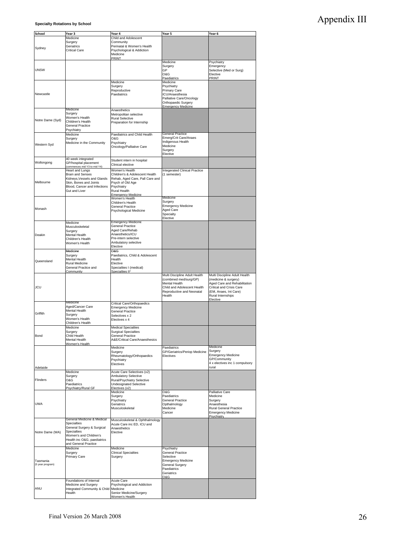# Appendix III

**Specialty Rotations by School**

| School           |                                        |                                                      |                                     |                                |
|------------------|----------------------------------------|------------------------------------------------------|-------------------------------------|--------------------------------|
|                  | Year 3                                 | Year 4                                               | Year 5                              | Year 6                         |
|                  | Medicine                               | Child and Adolescent                                 |                                     |                                |
|                  | Surgery                                | Community                                            |                                     |                                |
| Sydney           | Geriatrics                             | Perinatal & Women's Health                           |                                     |                                |
|                  | <b>Critical Care</b>                   | Psychological & Addiction                            |                                     |                                |
|                  |                                        | Medicine                                             |                                     |                                |
|                  |                                        | PRINT                                                |                                     |                                |
|                  |                                        |                                                      | Medicine                            | Psychiatry                     |
|                  |                                        |                                                      | Surgery                             | Emergency                      |
| <b>UNSW</b>      |                                        |                                                      | GP                                  | Selective (Med or Surg)        |
|                  |                                        |                                                      | O&G                                 | Elective                       |
|                  |                                        |                                                      | Paediatrics                         | PRINT                          |
|                  |                                        | Medicine                                             | Medicine                            |                                |
|                  |                                        |                                                      |                                     |                                |
|                  |                                        | Surgery                                              | Psychiatry                          |                                |
|                  |                                        | Reproductive                                         | Primary Care                        |                                |
| Newcastle        |                                        | Paediatrics                                          | ICU/Anaesthesia                     |                                |
|                  |                                        |                                                      | Palliative Care/Oncology            |                                |
|                  |                                        |                                                      | Orthopaedic Surgery                 |                                |
|                  |                                        |                                                      | <b>Emergency Medicine</b>           |                                |
|                  | Medicine                               | Anaesthetics                                         |                                     |                                |
|                  | Surgery                                | Metropolitan selective                               |                                     |                                |
|                  | Women's Health                         | <b>Rural Selective</b>                               |                                     |                                |
| Notre Dame (Syd) | Children's Health                      | Preparation for Internship                           |                                     |                                |
|                  | <b>General Practice</b>                |                                                      |                                     |                                |
|                  | Psychiatry                             |                                                      |                                     |                                |
|                  |                                        |                                                      | General Practice                    |                                |
|                  | Medicine                               | Paediatrics and Child Health                         | Emerg/Crit Care/Anaes               |                                |
|                  | Surgery                                | O&G                                                  |                                     |                                |
| Western Syd      | Medicine in the Community              | Psychiatry                                           | Indigenous Health                   |                                |
|                  |                                        | Oncology/Palliative Care                             | Medicine                            |                                |
|                  |                                        |                                                      | Surgery                             |                                |
|                  |                                        |                                                      | Elective                            |                                |
|                  | 40 week integrated                     |                                                      |                                     |                                |
| Wollongong       | GP/hospital placement                  | Student intern in hospital                           |                                     |                                |
|                  | (commences mid Y3 to mid Y4)           | Clinical elective                                    |                                     |                                |
|                  | Heart and Lungs                        | Women's Health                                       | Integerated Clinical Practice       |                                |
|                  | <b>Brain and Senses</b>                | Children's & Adolescent Health                       | (1 semester)                        |                                |
|                  |                                        |                                                      |                                     |                                |
|                  | Kidneys, Vessels and Glands            | Rehab, Aged Care, Pall Care and                      |                                     |                                |
| Melbourne        | Skin, Bones and Joints                 | Psych of Old Age                                     |                                     |                                |
|                  | Blood, Cancer and Infections           | Psychiatry                                           |                                     |                                |
|                  | Gut and Liver                          | Rural Health                                         |                                     |                                |
|                  |                                        |                                                      |                                     |                                |
|                  |                                        | Emergency Medicine<br>Women's Health                 | Medicine                            |                                |
|                  |                                        | Children's Health                                    | Surgery                             |                                |
|                  |                                        | <b>General Practice</b>                              | <b>Emergency Medicine</b>           |                                |
| Monash           |                                        | Psychological Medicine                               | Aged Care                           |                                |
|                  |                                        |                                                      | Specialty                           |                                |
|                  |                                        |                                                      | Elective                            |                                |
|                  |                                        |                                                      |                                     |                                |
|                  | Medicine                               | <b>Emergency Medicine</b><br><b>General Practice</b> |                                     |                                |
|                  | Musculoskeletal                        |                                                      |                                     |                                |
|                  | Surgery                                | Aged Care/Rehab                                      |                                     |                                |
| Deakin           | Mental Health                          | Anaesthetics/ICU                                     |                                     |                                |
|                  | Children's Health                      | Pre-intern selective                                 |                                     |                                |
|                  | Women's Health                         | Ambulatory selective                                 |                                     |                                |
|                  |                                        | Elective                                             |                                     |                                |
|                  |                                        |                                                      |                                     |                                |
|                  | Medicine                               | O&G                                                  |                                     |                                |
|                  | Surgery                                | Paediatrics, Child & Adolescent                      |                                     |                                |
| Queensland       | Mental Health                          | Health                                               |                                     |                                |
|                  | Rural Medicine                         | Elective                                             |                                     |                                |
|                  | General Practice and                   | Specialties I (medical)                              |                                     |                                |
|                  | Community                              | Specialties II*                                      |                                     |                                |
|                  |                                        |                                                      | Multi Discipline Adult Health       | Multi Discipline Adult Health  |
|                  |                                        |                                                      | (combined med/surg/GP)              | (medicine & surgery)           |
|                  |                                        |                                                      | Mental Health                       | Aged Care and Rehabilitation   |
| <b>JCU</b>       |                                        |                                                      | Child and Adolescent Health         | Critical and Crisis Care       |
|                  |                                        |                                                      |                                     |                                |
|                  |                                        |                                                      | Reproductive and Neonatal<br>Health | (EM, Anaes, Int Care)          |
|                  |                                        |                                                      |                                     |                                |
|                  |                                        |                                                      |                                     | Rural Internships              |
|                  |                                        |                                                      |                                     | Elective                       |
|                  | Medicine                               | Critical Care/Orthopaedics                           |                                     |                                |
|                  | Aged/Cancer Care                       | <b>Emergency Medicine</b>                            |                                     |                                |
|                  | Mental Health                          | <b>General Practice</b>                              |                                     |                                |
| Griffith         | Surgery                                | Selectives x 2                                       |                                     |                                |
|                  | Women's Health                         | Electives x 4                                        |                                     |                                |
|                  | Children's Health                      |                                                      |                                     |                                |
|                  |                                        |                                                      |                                     |                                |
|                  | Medicine                               | <b>Medical Specialties</b>                           |                                     |                                |
|                  | Surgery                                | <b>Surgical Specialties</b>                          |                                     |                                |
| Bond             | Child Health                           | <b>General Practice</b>                              |                                     |                                |
|                  | Mental Health                          | A&E/Critical Care/Anaesthesics                       |                                     |                                |
|                  | Women's Health                         |                                                      |                                     |                                |
|                  |                                        | Medicine                                             | Paediatrics                         | Medicine                       |
|                  |                                        | Surgery                                              | GP/Geriatrics/Periop Medicine       | Surgery                        |
|                  |                                        | Rheumatology/Orthopaedics                            | Electives                           | <b>Emergency Medicine</b>      |
|                  |                                        | Psychiatry                                           |                                     | GP/Community                   |
|                  |                                        | Electives                                            |                                     | 4 x electives inc 1 compulsory |
| Adelaide         |                                        |                                                      |                                     | rural                          |
|                  | Medicine                               |                                                      |                                     |                                |
|                  |                                        | Acute Care Selectives (x2)                           |                                     |                                |
|                  | Surgery                                | Ambulatory Selective                                 |                                     |                                |
| Flinders         | O&G                                    | Rural/Psychiatry Selective                           |                                     |                                |
|                  | Paediatrics                            | <b>Undesignated Selective</b>                        |                                     |                                |
|                  | Psychiatry/Rural GP                    | Electives (x2)                                       |                                     |                                |
|                  |                                        | Medicine                                             | O&G                                 | Palliative Care                |
|                  |                                        | Surgery                                              | Paediatrics                         | Medicine                       |
|                  |                                        | Psychiatry                                           | <b>General Practice</b>             | Surgery                        |
| <b>UWA</b>       |                                        | Geriatrics                                           | Opthalmology                        | Anaesthesia                    |
|                  |                                        |                                                      | Medicine                            |                                |
|                  |                                        | Musculoskeletal                                      |                                     | Rural General Practice         |
|                  |                                        |                                                      | Cancer                              | <b>Emergency Medicine</b>      |
|                  | General Medicine & Medical             |                                                      |                                     | Psychiatry                     |
|                  |                                        | Musculoskeletal & Ophthalmology                      |                                     |                                |
|                  | Specialties                            | Acute Care inc ED, ICU and                           |                                     |                                |
|                  | General Surgery & Surgical             | Anaesthetics                                         |                                     |                                |
|                  | <b>Specialties</b>                     | Elective                                             |                                     |                                |
|                  | Women's and Children's                 |                                                      |                                     |                                |
|                  | Health inc O&G, paediatrics            |                                                      |                                     |                                |
|                  | and General Practice                   |                                                      |                                     |                                |
|                  | Medicine                               | Medicine                                             | Psychiatry                          |                                |
|                  |                                        |                                                      |                                     |                                |
|                  | Surgery                                | <b>Clinical Specialties</b>                          | General Practice                    |                                |
|                  | Primary Care                           | Surgery                                              | Selective                           |                                |
| Tasmania         |                                        |                                                      | <b>Emergency Medicine</b>           |                                |
| (5 year program) |                                        |                                                      | General Surgery                     |                                |
|                  |                                        |                                                      | Paediatrics                         |                                |
|                  |                                        |                                                      | Geriatrics                          |                                |
|                  |                                        |                                                      | O&G                                 |                                |
|                  | Foundations of Internal                | Acute Care                                           |                                     |                                |
|                  |                                        |                                                      |                                     |                                |
| Notre Dame (WA)  | Medicine and Surgery                   | Psychological and Addiction                          |                                     |                                |
| ANU              | Integrated Community & Child<br>Health | Medicine<br>Senior Medicine/Surgery                  |                                     |                                |